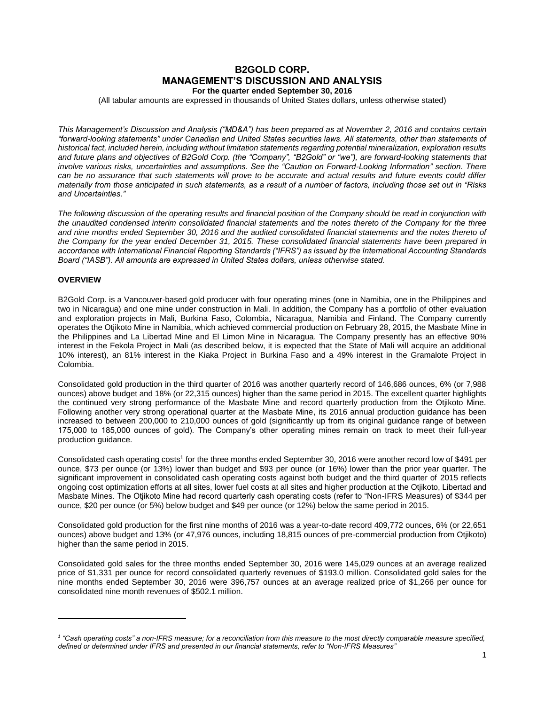# **B2GOLD CORP. MANAGEMENT'S DISCUSSION AND ANALYSIS For the quarter ended September 30, 2016**

(All tabular amounts are expressed in thousands of United States dollars, unless otherwise stated)

*This Management's Discussion and Analysis ("MD&A") has been prepared as at November 2, 2016 and contains certain "forward-looking statements" under Canadian and United States securities laws. All statements, other than statements of historical fact, included herein, including without limitation statements regarding potential mineralization, exploration results and future plans and objectives of B2Gold Corp. (the "Company", "B2Gold" or "we"), are forward-looking statements that involve various risks, uncertainties and assumptions. See the "Caution on Forward-Looking Information" section. There can be no assurance that such statements will prove to be accurate and actual results and future events could differ materially from those anticipated in such statements, as a result of a number of factors, including those set out in "Risks and Uncertainties."*

*The following discussion of the operating results and financial position of the Company should be read in conjunction with the unaudited condensed interim consolidated financial statements and the notes thereto of the Company for the three and nine months ended September 30, 2016 and the audited consolidated financial statements and the notes thereto of the Company for the year ended December 31, 2015. These consolidated financial statements have been prepared in accordance with International Financial Reporting Standards ("IFRS") as issued by the International Accounting Standards Board ("IASB"). All amounts are expressed in United States dollars, unless otherwise stated.*

## **OVERVIEW**

 $\overline{a}$ 

B2Gold Corp. is a Vancouver-based gold producer with four operating mines (one in Namibia, one in the Philippines and two in Nicaragua) and one mine under construction in Mali. In addition, the Company has a portfolio of other evaluation and exploration projects in Mali, Burkina Faso, Colombia, Nicaragua, Namibia and Finland. The Company currently operates the Otjikoto Mine in Namibia, which achieved commercial production on February 28, 2015, the Masbate Mine in the Philippines and La Libertad Mine and El Limon Mine in Nicaragua. The Company presently has an effective 90% interest in the Fekola Project in Mali (as described below, it is expected that the State of Mali will acquire an additional 10% interest), an 81% interest in the Kiaka Project in Burkina Faso and a 49% interest in the Gramalote Project in Colombia.

Consolidated gold production in the third quarter of 2016 was another quarterly record of 146,686 ounces, 6% (or 7,988 ounces) above budget and 18% (or 22,315 ounces) higher than the same period in 2015. The excellent quarter highlights the continued very strong performance of the Masbate Mine and record quarterly production from the Otjikoto Mine. Following another very strong operational quarter at the Masbate Mine, its 2016 annual production guidance has been increased to between 200,000 to 210,000 ounces of gold (significantly up from its original guidance range of between 175,000 to 185,000 ounces of gold). The Company's other operating mines remain on track to meet their full-year production guidance.

Consolidated cash operating costs<sup>1</sup> for the three months ended September 30, 2016 were another record low of \$491 per ounce, \$73 per ounce (or 13%) lower than budget and \$93 per ounce (or 16%) lower than the prior year quarter. The significant improvement in consolidated cash operating costs against both budget and the third quarter of 2015 reflects ongoing cost optimization efforts at all sites, lower fuel costs at all sites and higher production at the Otjikoto, Libertad and Masbate Mines. The Otjikoto Mine had record quarterly cash operating costs (refer to "Non-IFRS Measures) of \$344 per ounce, \$20 per ounce (or 5%) below budget and \$49 per ounce (or 12%) below the same period in 2015.

Consolidated gold production for the first nine months of 2016 was a year-to-date record 409,772 ounces, 6% (or 22,651 ounces) above budget and 13% (or 47,976 ounces, including 18,815 ounces of pre-commercial production from Otjikoto) higher than the same period in 2015.

Consolidated gold sales for the three months ended September 30, 2016 were 145,029 ounces at an average realized price of \$1,331 per ounce for record consolidated quarterly revenues of \$193.0 million. Consolidated gold sales for the nine months ended September 30, 2016 were 396,757 ounces at an average realized price of \$1,266 per ounce for consolidated nine month revenues of \$502.1 million.

<sup>&</sup>lt;sup>1</sup> "Cash operating costs" a non-IFRS measure; for a reconciliation from this measure to the most directly comparable measure specified, *defined or determined under IFRS and presented in our financial statements, refer to "Non-IFRS Measures"*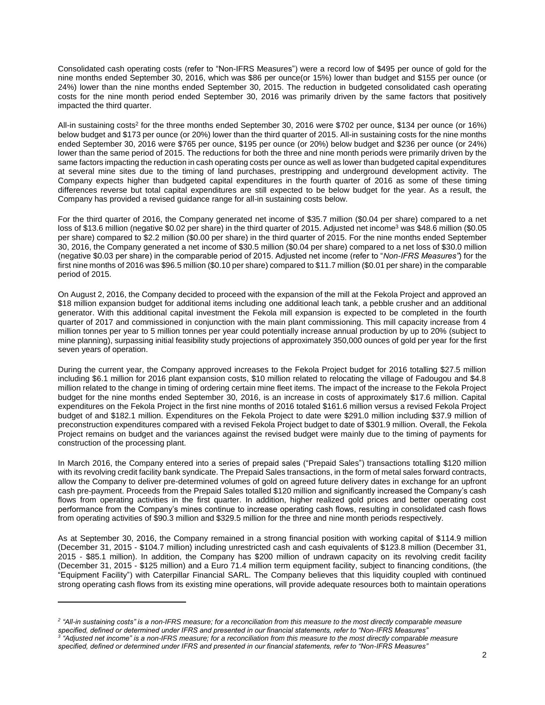Consolidated cash operating costs (refer to "Non-IFRS Measures") were a record low of \$495 per ounce of gold for the nine months ended September 30, 2016, which was \$86 per ounce(or 15%) lower than budget and \$155 per ounce (or 24%) lower than the nine months ended September 30, 2015. The reduction in budgeted consolidated cash operating costs for the nine month period ended September 30, 2016 was primarily driven by the same factors that positively impacted the third quarter.

All-in sustaining costs<sup>2</sup> for the three months ended September 30, 2016 were \$702 per ounce, \$134 per ounce (or 16%) below budget and \$173 per ounce (or 20%) lower than the third quarter of 2015. All-in sustaining costs for the nine months ended September 30, 2016 were \$765 per ounce, \$195 per ounce (or 20%) below budget and \$236 per ounce (or 24%) lower than the same period of 2015. The reductions for both the three and nine month periods were primarily driven by the same factors impacting the reduction in cash operating costs per ounce as well as lower than budgeted capital expenditures at several mine sites due to the timing of land purchases, prestripping and underground development activity. The Company expects higher than budgeted capital expenditures in the fourth quarter of 2016 as some of these timing differences reverse but total capital expenditures are still expected to be below budget for the year. As a result, the Company has provided a revised guidance range for all-in sustaining costs below.

For the third quarter of 2016, the Company generated net income of \$35.7 million (\$0.04 per share) compared to a net loss of \$13.6 million (negative \$0.02 per share) in the third quarter of 2015. Adjusted net income<sup>3</sup> was \$48.6 million (\$0.05 per share) compared to \$2.2 million (\$0.00 per share) in the third quarter of 2015. For the nine months ended September 30, 2016, the Company generated a net income of \$30.5 million (\$0.04 per share) compared to a net loss of \$30.0 million (negative \$0.03 per share) in the comparable period of 2015. Adjusted net income (refer to "*Non-IFRS Measures"*) for the first nine months of 2016 was \$96.5 million (\$0.10 per share) compared to \$11.7 million (\$0.01 per share) in the comparable period of 2015.

On August 2, 2016, the Company decided to proceed with the expansion of the mill at the Fekola Project and approved an \$18 million expansion budget for additional items including one additional leach tank, a pebble crusher and an additional generator. With this additional capital investment the Fekola mill expansion is expected to be completed in the fourth quarter of 2017 and commissioned in conjunction with the main plant commissioning. This mill capacity increase from 4 million tonnes per year to 5 million tonnes per year could potentially increase annual production by up to 20% (subject to mine planning), surpassing initial feasibility study projections of approximately 350,000 ounces of gold per year for the first seven years of operation.

During the current year, the Company approved increases to the Fekola Project budget for 2016 totalling \$27.5 million including \$6.1 million for 2016 plant expansion costs, \$10 million related to relocating the village of Fadougou and \$4.8 million related to the change in timing of ordering certain mine fleet items. The impact of the increase to the Fekola Project budget for the nine months ended September 30, 2016, is an increase in costs of approximately \$17.6 million. Capital expenditures on the Fekola Project in the first nine months of 2016 totaled \$161.6 million versus a revised Fekola Project budget of and \$182.1 million. Expenditures on the Fekola Project to date were \$291.0 million including \$37.9 million of preconstruction expenditures compared with a revised Fekola Project budget to date of \$301.9 million. Overall, the Fekola Project remains on budget and the variances against the revised budget were mainly due to the timing of payments for construction of the processing plant.

In March 2016, the Company entered into a series of prepaid sales ("Prepaid Sales") transactions totalling \$120 million with its revolving credit facility bank syndicate. The Prepaid Sales transactions, in the form of metal sales forward contracts, allow the Company to deliver pre-determined volumes of gold on agreed future delivery dates in exchange for an upfront cash pre-payment. Proceeds from the Prepaid Sales totalled \$120 million and significantly increased the Company's cash flows from operating activities in the first quarter. In addition, higher realized gold prices and better operating cost performance from the Company's mines continue to increase operating cash flows, resulting in consolidated cash flows from operating activities of \$90.3 million and \$329.5 million for the three and nine month periods respectively.

As at September 30, 2016, the Company remained in a strong financial position with working capital of \$114.9 million (December 31, 2015 - \$104.7 million) including unrestricted cash and cash equivalents of \$123.8 million (December 31, 2015 - \$85.1 million). In addition, the Company has \$200 million of undrawn capacity on its revolving credit facility (December 31, 2015 - \$125 million) and a Euro 71.4 million term equipment facility, subject to financing conditions, (the "Equipment Facility") with Caterpillar Financial SARL. The Company believes that this liquidity coupled with continued strong operating cash flows from its existing mine operations, will provide adequate resources both to maintain operations

 $\overline{a}$ 

<sup>&</sup>lt;sup>2</sup> "All-in sustaining costs" is a non-IFRS measure; for a reconciliation from this measure to the most directly comparable measure *specified, defined or determined under IFRS and presented in our financial statements, refer to "Non-IFRS Measures" 3 "Adjusted net income" is a non-IFRS measure; for a reconciliation from this measure to the most directly comparable measure* 

*specified, defined or determined under IFRS and presented in our financial statements, refer to "Non-IFRS Measures"*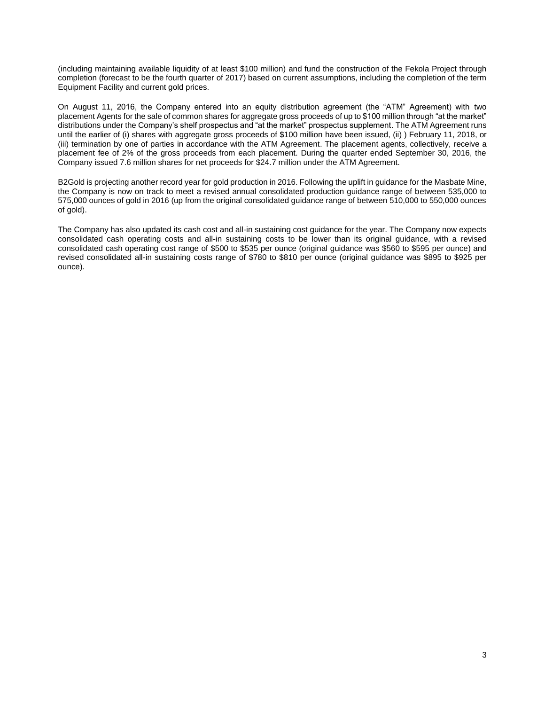(including maintaining available liquidity of at least \$100 million) and fund the construction of the Fekola Project through completion (forecast to be the fourth quarter of 2017) based on current assumptions, including the completion of the term Equipment Facility and current gold prices.

On August 11, 2016, the Company entered into an equity distribution agreement (the "ATM" Agreement) with two placement Agents for the sale of common shares for aggregate gross proceeds of up to \$100 million through "at the market" distributions under the Company's shelf prospectus and "at the market" prospectus supplement. The ATM Agreement runs until the earlier of (i) shares with aggregate gross proceeds of \$100 million have been issued, (ii) ) February 11, 2018, or (iii) termination by one of parties in accordance with the ATM Agreement. The placement agents, collectively, receive a placement fee of 2% of the gross proceeds from each placement. During the quarter ended September 30, 2016, the Company issued 7.6 million shares for net proceeds for \$24.7 million under the ATM Agreement.

B2Gold is projecting another record year for gold production in 2016. Following the uplift in guidance for the Masbate Mine, the Company is now on track to meet a revised annual consolidated production guidance range of between 535,000 to 575,000 ounces of gold in 2016 (up from the original consolidated guidance range of between 510,000 to 550,000 ounces of gold).

The Company has also updated its cash cost and all-in sustaining cost guidance for the year. The Company now expects consolidated cash operating costs and all-in sustaining costs to be lower than its original guidance, with a revised consolidated cash operating cost range of \$500 to \$535 per ounce (original guidance was \$560 to \$595 per ounce) and revised consolidated all-in sustaining costs range of \$780 to \$810 per ounce (original guidance was \$895 to \$925 per ounce).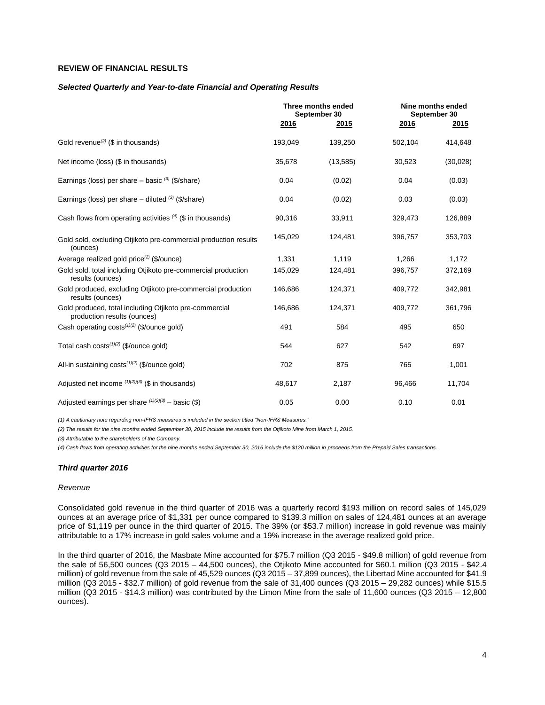## **REVIEW OF FINANCIAL RESULTS**

#### *Selected Quarterly and Year-to-date Financial and Operating Results*

|                                                                                       | Three months ended<br>September 30 |           |             | Nine months ended<br>September 30 |
|---------------------------------------------------------------------------------------|------------------------------------|-----------|-------------|-----------------------------------|
|                                                                                       | 2016                               | 2015      | <u>2016</u> | 2015                              |
| Gold revenue <sup>(2)</sup> (\$ in thousands)                                         | 193,049                            | 139,250   | 502,104     | 414,648                           |
| Net income (loss) (\$ in thousands)                                                   | 35,678                             | (13, 585) | 30,523      | (30,028)                          |
| Earnings (loss) per share $-$ basic $(3)$ (\$/share)                                  | 0.04                               | (0.02)    | 0.04        | (0.03)                            |
| Earnings (loss) per share – diluted $(3)$ (\$/share)                                  | 0.04                               | (0.02)    | 0.03        | (0.03)                            |
| Cash flows from operating activities $(4)$ (\$ in thousands)                          | 90,316                             | 33,911    | 329,473     | 126,889                           |
| Gold sold, excluding Otijkoto pre-commercial production results<br>(ounces)           | 145,029                            | 124,481   | 396,757     | 353,703                           |
| Average realized gold price <sup>(2)</sup> (\$/ounce)                                 | 1,331                              | 1,119     | 1.266       | 1,172                             |
| Gold sold, total including Otjikoto pre-commercial production<br>results (ounces)     | 145,029                            | 124,481   | 396,757     | 372,169                           |
| Gold produced, excluding Otjikoto pre-commercial production<br>results (ounces)       | 146,686                            | 124,371   | 409,772     | 342,981                           |
| Gold produced, total including Otjikoto pre-commercial<br>production results (ounces) | 146,686                            | 124,371   | 409,772     | 361,796                           |
| Cash operating costs <sup>(1)(2)</sup> (\$/ounce gold)                                | 491                                | 584       | 495         | 650                               |
| Total cash costs $(1)(2)$ (\$/ounce gold)                                             | 544                                | 627       | 542         | 697                               |
| All-in sustaining $costs^{(1)(2)}$ (\$/ounce gold)                                    | 702                                | 875       | 765         | 1,001                             |
| Adjusted net income $(1)(2)(3)$ (\$ in thousands)                                     | 48,617                             | 2,187     | 96,466      | 11,704                            |
| Adjusted earnings per share $(1)(2)(3)$ - basic (\$)                                  | 0.05                               | 0.00      | 0.10        | 0.01                              |

*(1) A cautionary note regarding non-IFRS measures is included in the section titled "Non-IFRS Measures."* 

*(2) The results for the nine months ended September 30, 2015 include the results from the Otjikoto Mine from March 1, 2015.*

*(3) Attributable to the shareholders of the Company.*

*(4) Cash flows from operating activities for the nine months ended September 30, 2016 include the \$120 million in proceeds from the Prepaid Sales transactions.*

#### *Third quarter 2016*

#### *Revenue*

Consolidated gold revenue in the third quarter of 2016 was a quarterly record \$193 million on record sales of 145,029 ounces at an average price of \$1,331 per ounce compared to \$139.3 million on sales of 124,481 ounces at an average price of \$1,119 per ounce in the third quarter of 2015. The 39% (or \$53.7 million) increase in gold revenue was mainly attributable to a 17% increase in gold sales volume and a 19% increase in the average realized gold price.

In the third quarter of 2016, the Masbate Mine accounted for \$75.7 million (Q3 2015 - \$49.8 million) of gold revenue from the sale of 56,500 ounces (Q3 2015 – 44,500 ounces), the Otjikoto Mine accounted for \$60.1 million (Q3 2015 - \$42.4 million) of gold revenue from the sale of 45,529 ounces (Q3 2015 – 37,899 ounces), the Libertad Mine accounted for \$41.9 million (Q3 2015 - \$32.7 million) of gold revenue from the sale of 31,400 ounces (Q3 2015 – 29,282 ounces) while \$15.5 million (Q3 2015 - \$14.3 million) was contributed by the Limon Mine from the sale of 11,600 ounces (Q3 2015 – 12,800 ounces).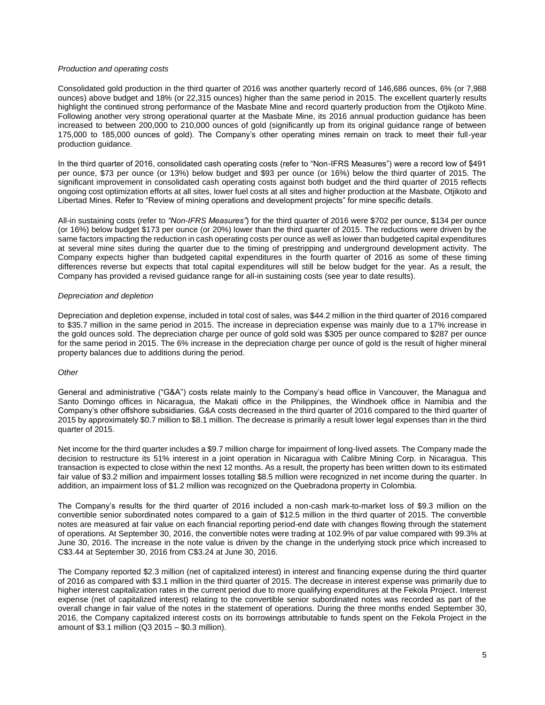### *Production and operating costs*

Consolidated gold production in the third quarter of 2016 was another quarterly record of 146,686 ounces, 6% (or 7,988 ounces) above budget and 18% (or 22,315 ounces) higher than the same period in 2015. The excellent quarterly results highlight the continued strong performance of the Masbate Mine and record quarterly production from the Otjikoto Mine. Following another very strong operational quarter at the Masbate Mine, its 2016 annual production guidance has been increased to between 200,000 to 210,000 ounces of gold (significantly up from its original guidance range of between 175,000 to 185,000 ounces of gold). The Company's other operating mines remain on track to meet their full-year production guidance.

In the third quarter of 2016, consolidated cash operating costs (refer to "Non-IFRS Measures") were a record low of \$491 per ounce, \$73 per ounce (or 13%) below budget and \$93 per ounce (or 16%) below the third quarter of 2015. The significant improvement in consolidated cash operating costs against both budget and the third quarter of 2015 reflects ongoing cost optimization efforts at all sites, lower fuel costs at all sites and higher production at the Masbate, Otjikoto and Libertad Mines. Refer to "Review of mining operations and development projects" for mine specific details.

All-in sustaining costs (refer to *"Non-IFRS Measures"*) for the third quarter of 2016 were \$702 per ounce, \$134 per ounce (or 16%) below budget \$173 per ounce (or 20%) lower than the third quarter of 2015. The reductions were driven by the same factors impacting the reduction in cash operating costs per ounce as well as lower than budgeted capital expenditures at several mine sites during the quarter due to the timing of prestripping and underground development activity. The Company expects higher than budgeted capital expenditures in the fourth quarter of 2016 as some of these timing differences reverse but expects that total capital expenditures will still be below budget for the year. As a result, the Company has provided a revised guidance range for all-in sustaining costs (see year to date results).

### *Depreciation and depletion*

Depreciation and depletion expense, included in total cost of sales, was \$44.2 million in the third quarter of 2016 compared to \$35.7 million in the same period in 2015. The increase in depreciation expense was mainly due to a 17% increase in the gold ounces sold. The depreciation charge per ounce of gold sold was \$305 per ounce compared to \$287 per ounce for the same period in 2015. The 6% increase in the depreciation charge per ounce of gold is the result of higher mineral property balances due to additions during the period.

## *Other*

General and administrative ("G&A") costs relate mainly to the Company's head office in Vancouver, the Managua and Santo Domingo offices in Nicaragua, the Makati office in the Philippines, the Windhoek office in Namibia and the Company's other offshore subsidiaries. G&A costs decreased in the third quarter of 2016 compared to the third quarter of 2015 by approximately \$0.7 million to \$8.1 million. The decrease is primarily a result lower legal expenses than in the third quarter of 2015.

Net income for the third quarter includes a \$9.7 million charge for impairment of long-lived assets. The Company made the decision to restructure its 51% interest in a joint operation in Nicaragua with Calibre Mining Corp. in Nicaragua. This transaction is expected to close within the next 12 months. As a result, the property has been written down to its estimated fair value of \$3.2 million and impairment losses totalling \$8.5 million were recognized in net income during the quarter. In addition, an impairment loss of \$1.2 million was recognized on the Quebradona property in Colombia.

The Company's results for the third quarter of 2016 included a non-cash mark-to-market loss of \$9.3 million on the convertible senior subordinated notes compared to a gain of \$12.5 million in the third quarter of 2015. The convertible notes are measured at fair value on each financial reporting period-end date with changes flowing through the statement of operations. At September 30, 2016, the convertible notes were trading at 102.9% of par value compared with 99.3% at June 30, 2016. The increase in the note value is driven by the change in the underlying stock price which increased to C\$3.44 at September 30, 2016 from C\$3.24 at June 30, 2016.

The Company reported \$2.3 million (net of capitalized interest) in interest and financing expense during the third quarter of 2016 as compared with \$3.1 million in the third quarter of 2015. The decrease in interest expense was primarily due to higher interest capitalization rates in the current period due to more qualifying expenditures at the Fekola Project. Interest expense (net of capitalized interest) relating to the convertible senior subordinated notes was recorded as part of the overall change in fair value of the notes in the statement of operations. During the three months ended September 30, 2016, the Company capitalized interest costs on its borrowings attributable to funds spent on the Fekola Project in the amount of \$3.1 million (Q3 2015 – \$0.3 million).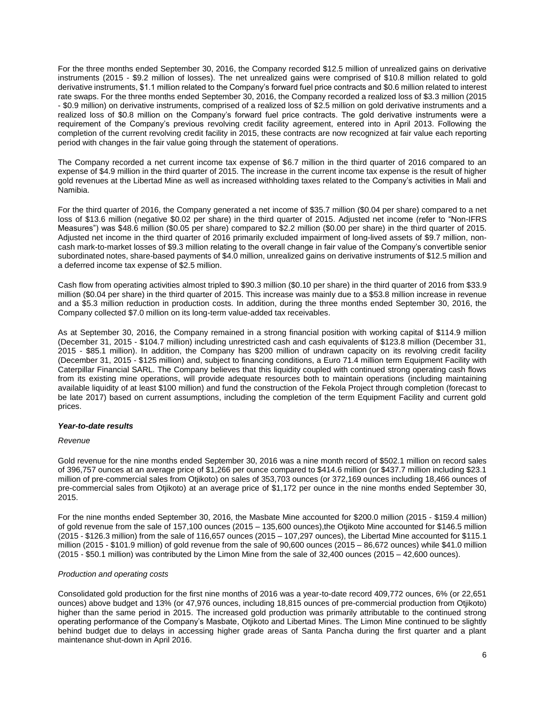For the three months ended September 30, 2016, the Company recorded \$12.5 million of unrealized gains on derivative instruments (2015 - \$9.2 million of losses). The net unrealized gains were comprised of \$10.8 million related to gold derivative instruments, \$1.1 million related to the Company's forward fuel price contracts and \$0.6 million related to interest rate swaps. For the three months ended September 30, 2016, the Company recorded a realized loss of \$3.3 million (2015 - \$0.9 million) on derivative instruments, comprised of a realized loss of \$2.5 million on gold derivative instruments and a realized loss of \$0.8 million on the Company's forward fuel price contracts. The gold derivative instruments were a requirement of the Company's previous revolving credit facility agreement, entered into in April 2013. Following the completion of the current revolving credit facility in 2015, these contracts are now recognized at fair value each reporting period with changes in the fair value going through the statement of operations.

The Company recorded a net current income tax expense of \$6.7 million in the third quarter of 2016 compared to an expense of \$4.9 million in the third quarter of 2015. The increase in the current income tax expense is the result of higher gold revenues at the Libertad Mine as well as increased withholding taxes related to the Company's activities in Mali and Namibia.

For the third quarter of 2016, the Company generated a net income of \$35.7 million (\$0.04 per share) compared to a net loss of \$13.6 million (negative \$0.02 per share) in the third quarter of 2015. Adjusted net income (refer to "Non-IFRS Measures") was \$48.6 million (\$0.05 per share) compared to \$2.2 million (\$0.00 per share) in the third quarter of 2015. Adjusted net income in the third quarter of 2016 primarily excluded impairment of long-lived assets of \$9.7 million, noncash mark-to-market losses of \$9.3 million relating to the overall change in fair value of the Company's convertible senior subordinated notes, share-based payments of \$4.0 million, unrealized gains on derivative instruments of \$12.5 million and a deferred income tax expense of \$2.5 million.

Cash flow from operating activities almost tripled to \$90.3 million (\$0.10 per share) in the third quarter of 2016 from \$33.9 million (\$0.04 per share) in the third quarter of 2015. This increase was mainly due to a \$53.8 million increase in revenue and a \$5.3 million reduction in production costs. In addition, during the three months ended September 30, 2016, the Company collected \$7.0 million on its long-term value-added tax receivables.

As at September 30, 2016, the Company remained in a strong financial position with working capital of \$114.9 million (December 31, 2015 - \$104.7 million) including unrestricted cash and cash equivalents of \$123.8 million (December 31, 2015 - \$85.1 million). In addition, the Company has \$200 million of undrawn capacity on its revolving credit facility (December 31, 2015 - \$125 million) and, subject to financing conditions, a Euro 71.4 million term Equipment Facility with Caterpillar Financial SARL. The Company believes that this liquidity coupled with continued strong operating cash flows from its existing mine operations, will provide adequate resources both to maintain operations (including maintaining available liquidity of at least \$100 million) and fund the construction of the Fekola Project through completion (forecast to be late 2017) based on current assumptions, including the completion of the term Equipment Facility and current gold prices.

## *Year-to-date results*

#### *Revenue*

Gold revenue for the nine months ended September 30, 2016 was a nine month record of \$502.1 million on record sales of 396,757 ounces at an average price of \$1,266 per ounce compared to \$414.6 million (or \$437.7 million including \$23.1 million of pre-commercial sales from Otjikoto) on sales of 353,703 ounces (or 372,169 ounces including 18,466 ounces of pre-commercial sales from Otjikoto) at an average price of \$1,172 per ounce in the nine months ended September 30, 2015.

For the nine months ended September 30, 2016, the Masbate Mine accounted for \$200.0 million (2015 - \$159.4 million) of gold revenue from the sale of 157,100 ounces (2015 – 135,600 ounces),the Otjikoto Mine accounted for \$146.5 million (2015 - \$126.3 million) from the sale of 116,657 ounces (2015 – 107,297 ounces), the Libertad Mine accounted for \$115.1 million (2015 - \$101.9 million) of gold revenue from the sale of 90,600 ounces (2015 – 86,672 ounces) while \$41.0 million (2015 - \$50.1 million) was contributed by the Limon Mine from the sale of 32,400 ounces (2015 – 42,600 ounces).

### *Production and operating costs*

Consolidated gold production for the first nine months of 2016 was a year-to-date record 409,772 ounces, 6% (or 22,651 ounces) above budget and 13% (or 47,976 ounces, including 18,815 ounces of pre-commercial production from Otjikoto) higher than the same period in 2015. The increased gold production was primarily attributable to the continued strong operating performance of the Company's Masbate, Otjikoto and Libertad Mines. The Limon Mine continued to be slightly behind budget due to delays in accessing higher grade areas of Santa Pancha during the first quarter and a plant maintenance shut-down in April 2016.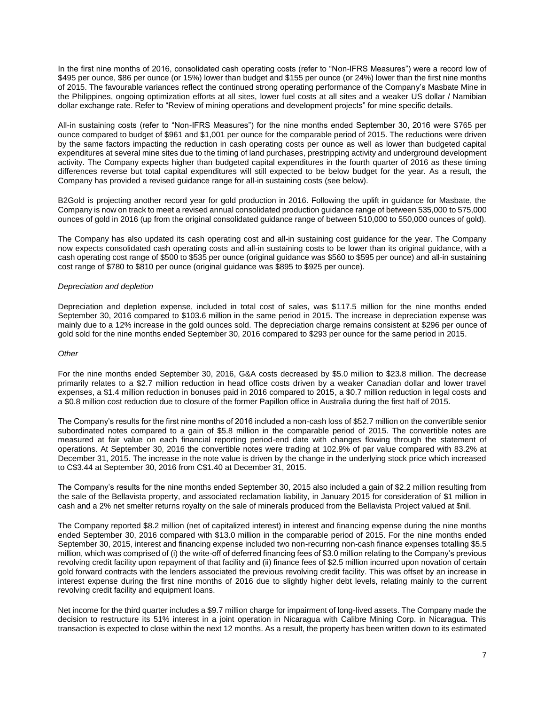In the first nine months of 2016, consolidated cash operating costs (refer to "Non-IFRS Measures") were a record low of \$495 per ounce, \$86 per ounce (or 15%) lower than budget and \$155 per ounce (or 24%) lower than the first nine months of 2015. The favourable variances reflect the continued strong operating performance of the Company's Masbate Mine in the Philippines, ongoing optimization efforts at all sites, lower fuel costs at all sites and a weaker US dollar / Namibian dollar exchange rate. Refer to "Review of mining operations and development projects" for mine specific details.

All-in sustaining costs (refer to "Non-IFRS Measures") for the nine months ended September 30, 2016 were \$765 per ounce compared to budget of \$961 and \$1,001 per ounce for the comparable period of 2015. The reductions were driven by the same factors impacting the reduction in cash operating costs per ounce as well as lower than budgeted capital expenditures at several mine sites due to the timing of land purchases, prestripping activity and underground development activity. The Company expects higher than budgeted capital expenditures in the fourth quarter of 2016 as these timing differences reverse but total capital expenditures will still expected to be below budget for the year. As a result, the Company has provided a revised guidance range for all-in sustaining costs (see below).

B2Gold is projecting another record year for gold production in 2016. Following the uplift in guidance for Masbate, the Company is now on track to meet a revised annual consolidated production guidance range of between 535,000 to 575,000 ounces of gold in 2016 (up from the original consolidated guidance range of between 510,000 to 550,000 ounces of gold).

The Company has also updated its cash operating cost and all-in sustaining cost guidance for the year. The Company now expects consolidated cash operating costs and all-in sustaining costs to be lower than its original guidance, with a cash operating cost range of \$500 to \$535 per ounce (original guidance was \$560 to \$595 per ounce) and all-in sustaining cost range of \$780 to \$810 per ounce (original guidance was \$895 to \$925 per ounce).

#### *Depreciation and depletion*

Depreciation and depletion expense, included in total cost of sales, was \$117.5 million for the nine months ended September 30, 2016 compared to \$103.6 million in the same period in 2015. The increase in depreciation expense was mainly due to a 12% increase in the gold ounces sold. The depreciation charge remains consistent at \$296 per ounce of gold sold for the nine months ended September 30, 2016 compared to \$293 per ounce for the same period in 2015.

### *Other*

For the nine months ended September 30, 2016, G&A costs decreased by \$5.0 million to \$23.8 million. The decrease primarily relates to a \$2.7 million reduction in head office costs driven by a weaker Canadian dollar and lower travel expenses, a \$1.4 million reduction in bonuses paid in 2016 compared to 2015, a \$0.7 million reduction in legal costs and a \$0.8 million cost reduction due to closure of the former Papillon office in Australia during the first half of 2015.

The Company's results for the first nine months of 2016 included a non-cash loss of \$52.7 million on the convertible senior subordinated notes compared to a gain of \$5.8 million in the comparable period of 2015. The convertible notes are measured at fair value on each financial reporting period-end date with changes flowing through the statement of operations. At September 30, 2016 the convertible notes were trading at 102.9% of par value compared with 83.2% at December 31, 2015. The increase in the note value is driven by the change in the underlying stock price which increased to C\$3.44 at September 30, 2016 from C\$1.40 at December 31, 2015.

The Company's results for the nine months ended September 30, 2015 also included a gain of \$2.2 million resulting from the sale of the Bellavista property, and associated reclamation liability, in January 2015 for consideration of \$1 million in cash and a 2% net smelter returns royalty on the sale of minerals produced from the Bellavista Project valued at \$nil.

The Company reported \$8.2 million (net of capitalized interest) in interest and financing expense during the nine months ended September 30, 2016 compared with \$13.0 million in the comparable period of 2015. For the nine months ended September 30, 2015, interest and financing expense included two non-recurring non-cash finance expenses totalling \$5.5 million, which was comprised of (i) the write-off of deferred financing fees of \$3.0 million relating to the Company's previous revolving credit facility upon repayment of that facility and (ii) finance fees of \$2.5 million incurred upon novation of certain gold forward contracts with the lenders associated the previous revolving credit facility. This was offset by an increase in interest expense during the first nine months of 2016 due to slightly higher debt levels, relating mainly to the current revolving credit facility and equipment loans.

Net income for the third quarter includes a \$9.7 million charge for impairment of long-lived assets. The Company made the decision to restructure its 51% interest in a joint operation in Nicaragua with Calibre Mining Corp. in Nicaragua. This transaction is expected to close within the next 12 months. As a result, the property has been written down to its estimated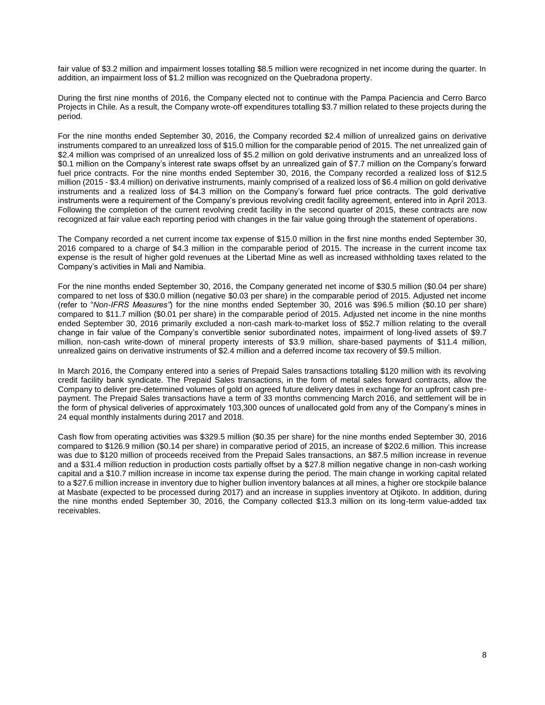fair value of \$3.2 million and impairment losses totalling \$8.5 million were recognized in net income during the quarter. In addition, an impairment loss of \$1.2 million was recognized on the Quebradona property.

During the first nine months of 2016, the Company elected not to continue with the Pampa Paciencia and Cerro Barco Projects in Chile. As a result, the Company wrote-off expenditures totalling \$3.7 million related to these projects during the period.

For the nine months ended September 30, 2016, the Company recorded \$2.4 million of unrealized gains on derivative instruments compared to an unrealized loss of \$15.0 million for the comparable period of 2015. The net unrealized gain of \$2.4 million was comprised of an unrealized loss of \$5.2 million on gold derivative instruments and an unrealized loss of \$0.1 million on the Company's interest rate swaps offset by an unrealized gain of \$7.7 million on the Company's forward fuel price contracts. For the nine months ended September 30, 2016, the Company recorded a realized loss of \$12.5 million (2015 - \$3.4 million) on derivative instruments, mainly comprised of a realized loss of \$6.4 million on gold derivative instruments and a realized loss of \$4.3 million on the Company's forward fuel price contracts. The gold derivative instruments were a requirement of the Company's previous revolving credit facility agreement, entered into in April 2013. Following the completion of the current revolving credit facility in the second quarter of 2015, these contracts are now recognized at fair value each reporting period with changes in the fair value going through the statement of operations.

The Company recorded a net current income tax expense of \$15.0 million in the first nine months ended September 30, 2016 compared to a charge of \$4.3 million in the comparable period of 2015. The increase in the current income tax expense is the result of higher gold revenues at the Libertad Mine as well as increased withholding taxes related to the Company's activities in Mali and Namibia.

For the nine months ended September 30, 2016, the Company generated net income of \$30.5 million (\$0.04 per share) compared to net loss of \$30.0 million (negative \$0.03 per share) in the comparable period of 2015. Adjusted net income (refer to "*Non-IFRS Measures"*) for the nine months ended September 30, 2016 was \$96.5 million (\$0.10 per share) compared to \$11.7 million (\$0.01 per share) in the comparable period of 2015. Adjusted net income in the nine months ended September 30, 2016 primarily excluded a non-cash mark-to-market loss of \$52.7 million relating to the overall change in fair value of the Company's convertible senior subordinated notes, impairment of long-lived assets of \$9.7 million, non-cash write-down of mineral property interests of \$3.9 million, share-based payments of \$11.4 million, unrealized gains on derivative instruments of \$2.4 million and a deferred income tax recovery of \$9.5 million.

In March 2016, the Company entered into a series of Prepaid Sales transactions totalling \$120 million with its revolving credit facility bank syndicate. The Prepaid Sales transactions, in the form of metal sales forward contracts, allow the Company to deliver pre-determined volumes of gold on agreed future delivery dates in exchange for an upfront cash prepayment. The Prepaid Sales transactions have a term of 33 months commencing March 2016, and settlement will be in the form of physical deliveries of approximately 103,300 ounces of unallocated gold from any of the Company's mines in 24 equal monthly instalments during 2017 and 2018.

Cash flow from operating activities was \$329.5 million (\$0.35 per share) for the nine months ended September 30, 2016 compared to \$126.9 million (\$0.14 per share) in comparative period of 2015, an increase of \$202.6 million. This increase was due to \$120 million of proceeds received from the Prepaid Sales transactions, an \$87.5 million increase in revenue and a \$31.4 million reduction in production costs partially offset by a \$27.8 million negative change in non-cash working capital and a \$10.7 million increase in income tax expense during the period. The main change in working capital related to a \$27.6 million increase in inventory due to higher bullion inventory balances at all mines, a higher ore stockpile balance at Masbate (expected to be processed during 2017) and an increase in supplies inventory at Otjikoto. In addition, during the nine months ended September 30, 2016, the Company collected \$13.3 million on its long-term value-added tax receivables.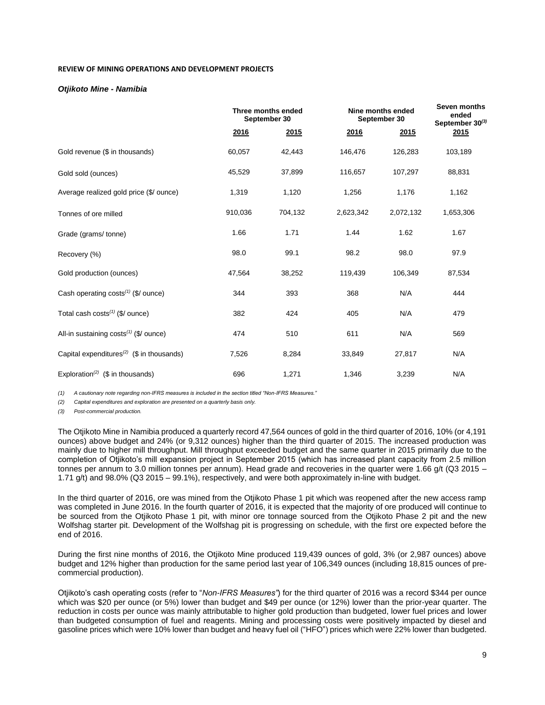### **REVIEW OF MINING OPERATIONS AND DEVELOPMENT PROJECTS**

### *Otjikoto Mine - Namibia*

|                                                       | Three months ended<br>September 30 |         | Nine months ended<br>September 30 |           |           |  | Seven months<br>ended<br>September 30(3) |
|-------------------------------------------------------|------------------------------------|---------|-----------------------------------|-----------|-----------|--|------------------------------------------|
|                                                       | <u>2016</u>                        | 2015    | <u>2016</u>                       | 2015      | 2015      |  |                                          |
| Gold revenue (\$ in thousands)                        | 60,057                             | 42,443  | 146,476                           | 126,283   | 103,189   |  |                                          |
| Gold sold (ounces)                                    | 45,529                             | 37,899  | 116,657                           | 107,297   | 88,831    |  |                                          |
| Average realized gold price (\$/ ounce)               | 1,319                              | 1,120   | 1,256                             | 1,176     | 1,162     |  |                                          |
| Tonnes of ore milled                                  | 910,036                            | 704,132 | 2,623,342                         | 2,072,132 | 1,653,306 |  |                                          |
| Grade (grams/tonne)                                   | 1.66                               | 1.71    | 1.44                              | 1.62      | 1.67      |  |                                          |
| Recovery (%)                                          | 98.0                               | 99.1    | 98.2                              | 98.0      | 97.9      |  |                                          |
| Gold production (ounces)                              | 47,564                             | 38,252  | 119,439                           | 106,349   | 87,534    |  |                                          |
| Cash operating costs $(1)$ (\$/ ounce)                | 344                                | 393     | 368                               | N/A       | 444       |  |                                          |
| Total cash $costs^{(1)}$ (\$/ ounce)                  | 382                                | 424     | 405                               | N/A       | 479       |  |                                          |
| All-in sustaining $costs^{(1)}$ (\$/ ounce)           | 474                                | 510     | 611                               | N/A       | 569       |  |                                          |
| Capital expenditures <sup>(2)</sup> (\$ in thousands) | 7,526                              | 8,284   | 33,849                            | 27,817    | N/A       |  |                                          |
| Exploration <sup>(2)</sup> (\$ in thousands)          | 696                                | 1,271   | 1,346                             | 3,239     | N/A       |  |                                          |

*(1) A cautionary note regarding non-IFRS measures is included in the section titled "Non-IFRS Measures."*

*(2) Capital expenditures and exploration are presented on a quarterly basis only.*

*(3) Post-commercial production.*

The Otjikoto Mine in Namibia produced a quarterly record 47,564 ounces of gold in the third quarter of 2016, 10% (or 4,191 ounces) above budget and 24% (or 9,312 ounces) higher than the third quarter of 2015. The increased production was mainly due to higher mill throughput. Mill throughput exceeded budget and the same quarter in 2015 primarily due to the completion of Otjikoto's mill expansion project in September 2015 (which has increased plant capacity from 2.5 million tonnes per annum to 3.0 million tonnes per annum). Head grade and recoveries in the quarter were 1.66 g/t (Q3 2015 – 1.71 g/t) and 98.0% (Q3 2015 – 99.1%), respectively, and were both approximately in-line with budget.

In the third quarter of 2016, ore was mined from the Otjikoto Phase 1 pit which was reopened after the new access ramp was completed in June 2016. In the fourth quarter of 2016, it is expected that the majority of ore produced will continue to be sourced from the Otjikoto Phase 1 pit, with minor ore tonnage sourced from the Otjikoto Phase 2 pit and the new Wolfshag starter pit. Development of the Wolfshag pit is progressing on schedule, with the first ore expected before the end of 2016.

During the first nine months of 2016, the Otjikoto Mine produced 119,439 ounces of gold, 3% (or 2,987 ounces) above budget and 12% higher than production for the same period last year of 106,349 ounces (including 18,815 ounces of precommercial production).

Otjikoto's cash operating costs (refer to "*Non-IFRS Measures"*) for the third quarter of 2016 was a record \$344 per ounce which was \$20 per ounce (or 5%) lower than budget and \$49 per ounce (or 12%) lower than the prior-year quarter. The reduction in costs per ounce was mainly attributable to higher gold production than budgeted, lower fuel prices and lower than budgeted consumption of fuel and reagents. Mining and processing costs were positively impacted by diesel and gasoline prices which were 10% lower than budget and heavy fuel oil ("HFO") prices which were 22% lower than budgeted.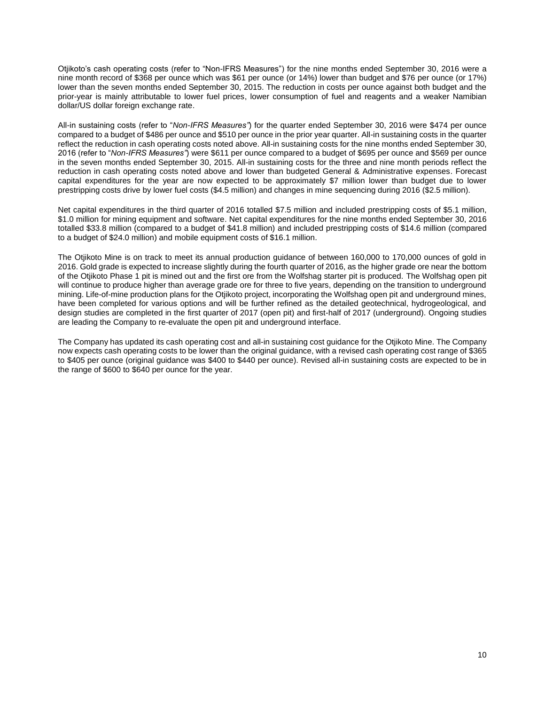Otjikoto's cash operating costs (refer to "Non-IFRS Measures") for the nine months ended September 30, 2016 were a nine month record of \$368 per ounce which was \$61 per ounce (or 14%) lower than budget and \$76 per ounce (or 17%) lower than the seven months ended September 30, 2015. The reduction in costs per ounce against both budget and the prior-year is mainly attributable to lower fuel prices, lower consumption of fuel and reagents and a weaker Namibian dollar/US dollar foreign exchange rate.

All-in sustaining costs (refer to "*Non-IFRS Measures"*) for the quarter ended September 30, 2016 were \$474 per ounce compared to a budget of \$486 per ounce and \$510 per ounce in the prior year quarter. All-in sustaining costs in the quarter reflect the reduction in cash operating costs noted above. All-in sustaining costs for the nine months ended September 30, 2016 (refer to "*Non-IFRS Measures"*) were \$611 per ounce compared to a budget of \$695 per ounce and \$569 per ounce in the seven months ended September 30, 2015. All-in sustaining costs for the three and nine month periods reflect the reduction in cash operating costs noted above and lower than budgeted General & Administrative expenses. Forecast capital expenditures for the year are now expected to be approximately \$7 million lower than budget due to lower prestripping costs drive by lower fuel costs (\$4.5 million) and changes in mine sequencing during 2016 (\$2.5 million).

Net capital expenditures in the third quarter of 2016 totalled \$7.5 million and included prestripping costs of \$5.1 million, \$1.0 million for mining equipment and software. Net capital expenditures for the nine months ended September 30, 2016 totalled \$33.8 million (compared to a budget of \$41.8 million) and included prestripping costs of \$14.6 million (compared to a budget of \$24.0 million) and mobile equipment costs of \$16.1 million.

The Otjikoto Mine is on track to meet its annual production guidance of between 160,000 to 170,000 ounces of gold in 2016. Gold grade is expected to increase slightly during the fourth quarter of 2016, as the higher grade ore near the bottom of the Otjikoto Phase 1 pit is mined out and the first ore from the Wolfshag starter pit is produced. The Wolfshag open pit will continue to produce higher than average grade ore for three to five years, depending on the transition to underground mining. Life-of-mine production plans for the Otjikoto project, incorporating the Wolfshag open pit and underground mines, have been completed for various options and will be further refined as the detailed geotechnical, hydrogeological, and design studies are completed in the first quarter of 2017 (open pit) and first-half of 2017 (underground). Ongoing studies are leading the Company to re-evaluate the open pit and underground interface.

The Company has updated its cash operating cost and all-in sustaining cost guidance for the Otjikoto Mine. The Company now expects cash operating costs to be lower than the original guidance, with a revised cash operating cost range of \$365 to \$405 per ounce (original guidance was \$400 to \$440 per ounce). Revised all-in sustaining costs are expected to be in the range of \$600 to \$640 per ounce for the year.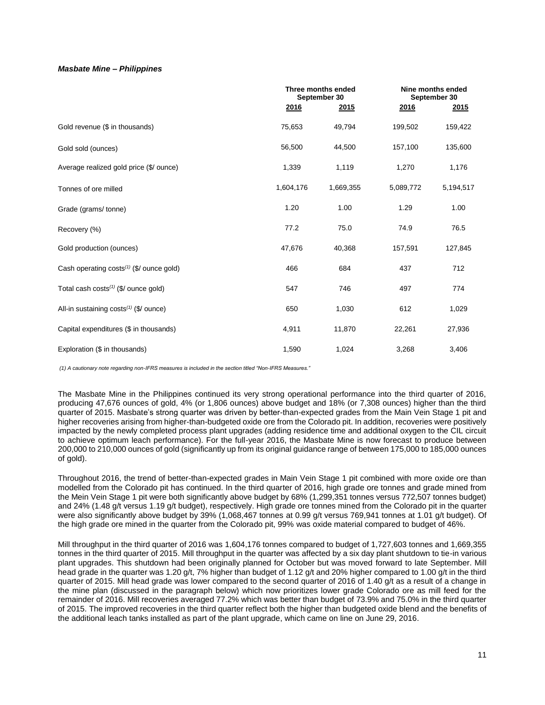### *Masbate Mine – Philippines*

|                                                      |           | Three months ended<br>September 30 |           | Nine months ended<br>September 30 |
|------------------------------------------------------|-----------|------------------------------------|-----------|-----------------------------------|
|                                                      | 2016      | 2015                               | 2016      | 2015                              |
| Gold revenue (\$ in thousands)                       | 75,653    | 49,794                             | 199,502   | 159,422                           |
| Gold sold (ounces)                                   | 56,500    | 44,500                             | 157,100   | 135,600                           |
| Average realized gold price (\$/ ounce)              | 1,339     | 1,119                              | 1,270     | 1,176                             |
| Tonnes of ore milled                                 | 1,604,176 | 1,669,355                          | 5,089,772 | 5,194,517                         |
| Grade (grams/tonne)                                  | 1.20      | 1.00                               | 1.29      | 1.00                              |
| Recovery (%)                                         | 77.2      | 75.0                               | 74.9      | 76.5                              |
| Gold production (ounces)                             | 47,676    | 40,368                             | 157,591   | 127,845                           |
| Cash operating costs <sup>(1)</sup> (\$/ ounce gold) | 466       | 684                                | 437       | 712                               |
| Total cash costs <sup>(1)</sup> (\$/ ounce gold)     | 547       | 746                                | 497       | 774                               |
| All-in sustaining $costs^{(1)}$ (\$/ ounce)          | 650       | 1,030                              | 612       | 1,029                             |
| Capital expenditures (\$ in thousands)               | 4,911     | 11,870                             | 22,261    | 27,936                            |
| Exploration (\$ in thousands)                        | 1,590     | 1,024                              | 3,268     | 3,406                             |

*(1) A cautionary note regarding non-IFRS measures is included in the section titled "Non-IFRS Measures."* 

The Masbate Mine in the Philippines continued its very strong operational performance into the third quarter of 2016, producing 47,676 ounces of gold, 4% (or 1,806 ounces) above budget and 18% (or 7,308 ounces) higher than the third quarter of 2015. Masbate's strong quarter was driven by better-than-expected grades from the Main Vein Stage 1 pit and higher recoveries arising from higher-than-budgeted oxide ore from the Colorado pit. In addition, recoveries were positively impacted by the newly completed process plant upgrades (adding residence time and additional oxygen to the CIL circuit to achieve optimum leach performance). For the full-year 2016, the Masbate Mine is now forecast to produce between 200,000 to 210,000 ounces of gold (significantly up from its original guidance range of between 175,000 to 185,000 ounces of gold).

Throughout 2016, the trend of better-than-expected grades in Main Vein Stage 1 pit combined with more oxide ore than modelled from the Colorado pit has continued. In the third quarter of 2016, high grade ore tonnes and grade mined from the Mein Vein Stage 1 pit were both significantly above budget by 68% (1,299,351 tonnes versus 772,507 tonnes budget) and 24% (1.48 g/t versus 1.19 g/t budget), respectively. High grade ore tonnes mined from the Colorado pit in the quarter were also significantly above budget by 39% (1,068,467 tonnes at 0.99 g/t versus 769,941 tonnes at 1.01 g/t budget). Of the high grade ore mined in the quarter from the Colorado pit, 99% was oxide material compared to budget of 46%.

Mill throughput in the third quarter of 2016 was 1,604,176 tonnes compared to budget of 1,727,603 tonnes and 1,669,355 tonnes in the third quarter of 2015. Mill throughput in the quarter was affected by a six day plant shutdown to tie-in various plant upgrades. This shutdown had been originally planned for October but was moved forward to late September. Mill head grade in the quarter was 1.20 g/t, 7% higher than budget of 1.12 g/t and 20% higher compared to 1.00 g/t in the third quarter of 2015. Mill head grade was lower compared to the second quarter of 2016 of 1.40 g/t as a result of a change in the mine plan (discussed in the paragraph below) which now prioritizes lower grade Colorado ore as mill feed for the remainder of 2016. Mill recoveries averaged 77.2% which was better than budget of 73.9% and 75.0% in the third quarter of 2015. The improved recoveries in the third quarter reflect both the higher than budgeted oxide blend and the benefits of the additional leach tanks installed as part of the plant upgrade, which came on line on June 29, 2016.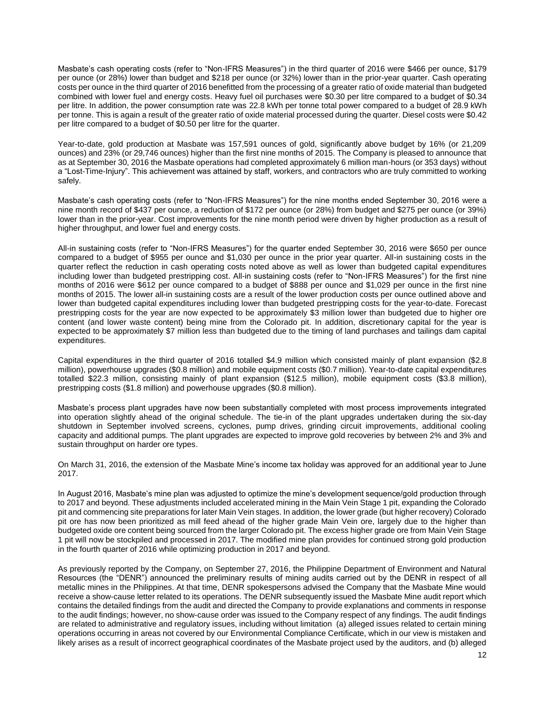Masbate's cash operating costs (refer to "Non-IFRS Measures") in the third quarter of 2016 were \$466 per ounce, \$179 per ounce (or 28%) lower than budget and \$218 per ounce (or 32%) lower than in the prior-year quarter. Cash operating costs per ounce in the third quarter of 2016 benefitted from the processing of a greater ratio of oxide material than budgeted combined with lower fuel and energy costs. Heavy fuel oil purchases were \$0.30 per litre compared to a budget of \$0.34 per litre. In addition, the power consumption rate was 22.8 kWh per tonne total power compared to a budget of 28.9 kWh per tonne. This is again a result of the greater ratio of oxide material processed during the quarter. Diesel costs were \$0.42 per litre compared to a budget of \$0.50 per litre for the quarter.

Year-to-date, gold production at Masbate was 157,591 ounces of gold, significantly above budget by 16% (or 21,209 ounces) and 23% (or 29,746 ounces) higher than the first nine months of 2015. The Company is pleased to announce that as at September 30, 2016 the Masbate operations had completed approximately 6 million man-hours (or 353 days) without a "Lost-Time-Injury". This achievement was attained by staff, workers, and contractors who are truly committed to working safely.

Masbate's cash operating costs (refer to "Non-IFRS Measures") for the nine months ended September 30, 2016 were a nine month record of \$437 per ounce, a reduction of \$172 per ounce (or 28%) from budget and \$275 per ounce (or 39%) lower than in the prior-year. Cost improvements for the nine month period were driven by higher production as a result of higher throughput, and lower fuel and energy costs.

All-in sustaining costs (refer to "Non-IFRS Measures") for the quarter ended September 30, 2016 were \$650 per ounce compared to a budget of \$955 per ounce and \$1,030 per ounce in the prior year quarter. All-in sustaining costs in the quarter reflect the reduction in cash operating costs noted above as well as lower than budgeted capital expenditures including lower than budgeted prestripping cost. All-in sustaining costs (refer to "Non-IFRS Measures") for the first nine months of 2016 were \$612 per ounce compared to a budget of \$888 per ounce and \$1,029 per ounce in the first nine months of 2015. The lower all-in sustaining costs are a result of the lower production costs per ounce outlined above and lower than budgeted capital expenditures including lower than budgeted prestripping costs for the year-to-date. Forecast prestripping costs for the year are now expected to be approximately \$3 million lower than budgeted due to higher ore content (and lower waste content) being mine from the Colorado pit. In addition, discretionary capital for the year is expected to be approximately \$7 million less than budgeted due to the timing of land purchases and tailings dam capital expenditures.

Capital expenditures in the third quarter of 2016 totalled \$4.9 million which consisted mainly of plant expansion (\$2.8 million), powerhouse upgrades (\$0.8 million) and mobile equipment costs (\$0.7 million). Year-to-date capital expenditures totalled \$22.3 million, consisting mainly of plant expansion (\$12.5 million), mobile equipment costs (\$3.8 million), prestripping costs (\$1.8 million) and powerhouse upgrades (\$0.8 million).

Masbate's process plant upgrades have now been substantially completed with most process improvements integrated into operation slightly ahead of the original schedule. The tie-in of the plant upgrades undertaken during the six-day shutdown in September involved screens, cyclones, pump drives, grinding circuit improvements, additional cooling capacity and additional pumps. The plant upgrades are expected to improve gold recoveries by between 2% and 3% and sustain throughput on harder ore types.

On March 31, 2016, the extension of the Masbate Mine's income tax holiday was approved for an additional year to June 2017.

In August 2016, Masbate's mine plan was adjusted to optimize the mine's development sequence/gold production through to 2017 and beyond. These adjustments included accelerated mining in the Main Vein Stage 1 pit, expanding the Colorado pit and commencing site preparations for later Main Vein stages. In addition, the lower grade (but higher recovery) Colorado pit ore has now been prioritized as mill feed ahead of the higher grade Main Vein ore, largely due to the higher than budgeted oxide ore content being sourced from the larger Colorado pit. The excess higher grade ore from Main Vein Stage 1 pit will now be stockpiled and processed in 2017. The modified mine plan provides for continued strong gold production in the fourth quarter of 2016 while optimizing production in 2017 and beyond.

As previously reported by the Company, on September 27, 2016, the Philippine Department of Environment and Natural Resources (the "DENR") announced the preliminary results of mining audits carried out by the DENR in respect of all metallic mines in the Philippines. At that time, DENR spokespersons advised the Company that the Masbate Mine would receive a show-cause letter related to its operations. The DENR subsequently issued the Masbate Mine audit report which contains the detailed findings from the audit and directed the Company to provide explanations and comments in response to the audit findings; however, no show-cause order was issued to the Company respect of any findings. The audit findings are related to administrative and regulatory issues, including without limitation (a) alleged issues related to certain mining operations occurring in areas not covered by our Environmental Compliance Certificate, which in our view is mistaken and likely arises as a result of incorrect geographical coordinates of the Masbate project used by the auditors, and (b) alleged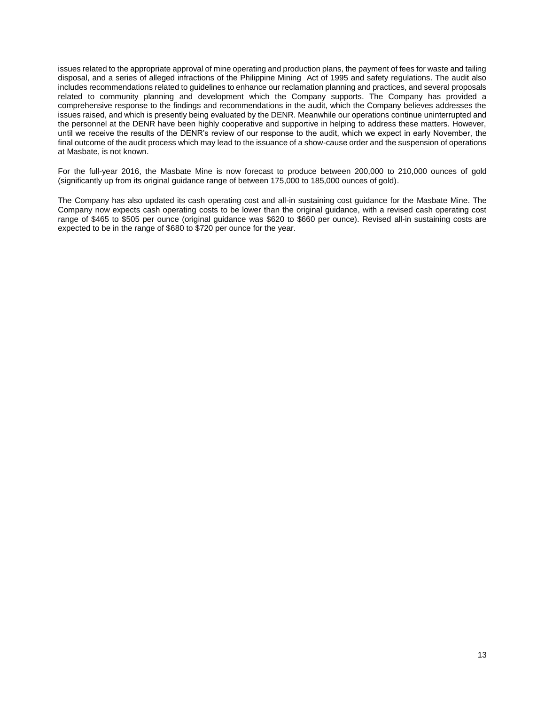issues related to the appropriate approval of mine operating and production plans, the payment of fees for waste and tailing disposal, and a series of alleged infractions of the Philippine Mining Act of 1995 and safety regulations. The audit also includes recommendations related to guidelines to enhance our reclamation planning and practices, and several proposals related to community planning and development which the Company supports. The Company has provided a comprehensive response to the findings and recommendations in the audit, which the Company believes addresses the issues raised, and which is presently being evaluated by the DENR. Meanwhile our operations continue uninterrupted and the personnel at the DENR have been highly cooperative and supportive in helping to address these matters. However, until we receive the results of the DENR's review of our response to the audit, which we expect in early November, the final outcome of the audit process which may lead to the issuance of a show-cause order and the suspension of operations at Masbate, is not known.

For the full-year 2016, the Masbate Mine is now forecast to produce between 200,000 to 210,000 ounces of gold (significantly up from its original guidance range of between 175,000 to 185,000 ounces of gold).

The Company has also updated its cash operating cost and all-in sustaining cost guidance for the Masbate Mine. The Company now expects cash operating costs to be lower than the original guidance, with a revised cash operating cost range of \$465 to \$505 per ounce (original guidance was \$620 to \$660 per ounce). Revised all-in sustaining costs are expected to be in the range of \$680 to \$720 per ounce for the year.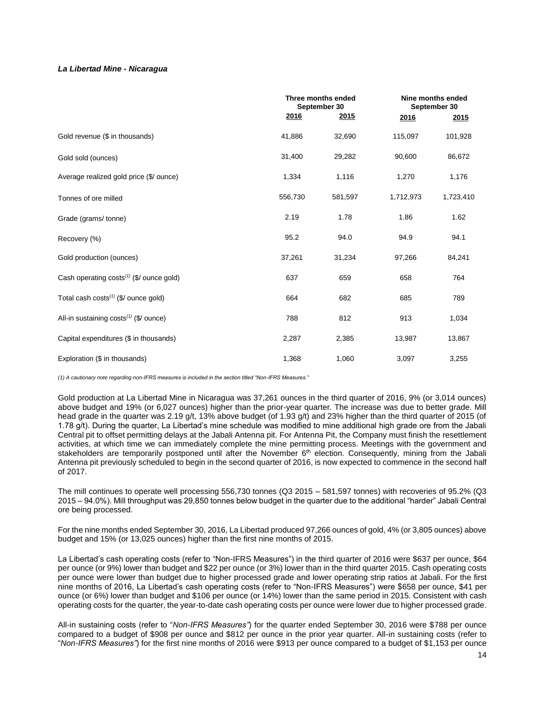## *La Libertad Mine - Nicaragua*

|                                                      | 2016    | Three months ended<br>September 30<br>2015 |           | Nine months ended<br>September 30<br>2015<br>2016 |  |  |
|------------------------------------------------------|---------|--------------------------------------------|-----------|---------------------------------------------------|--|--|
| Gold revenue (\$ in thousands)                       | 41,886  | 32,690                                     | 115,097   | 101,928                                           |  |  |
| Gold sold (ounces)                                   | 31,400  | 29,282                                     | 90,600    | 86,672                                            |  |  |
| Average realized gold price (\$/ ounce)              | 1,334   | 1,116                                      | 1,270     | 1,176                                             |  |  |
| Tonnes of ore milled                                 | 556,730 | 581,597                                    | 1,712,973 | 1,723,410                                         |  |  |
| Grade (grams/tonne)                                  | 2.19    | 1.78                                       | 1.86      | 1.62                                              |  |  |
| Recovery (%)                                         | 95.2    | 94.0                                       | 94.9      | 94.1                                              |  |  |
| Gold production (ounces)                             | 37,261  | 31,234                                     | 97,266    | 84,241                                            |  |  |
| Cash operating costs <sup>(1)</sup> (\$/ ounce gold) | 637     | 659                                        | 658       | 764                                               |  |  |
| Total cash costs $(1)$ (\$/ ounce gold)              | 664     | 682                                        | 685       | 789                                               |  |  |
| All-in sustaining $costs^{(1)}$ (\$/ ounce)          | 788     | 812                                        | 913       | 1,034                                             |  |  |
| Capital expenditures (\$ in thousands)               | 2,287   | 2,385                                      | 13,987    | 13,867                                            |  |  |
| Exploration (\$ in thousands)                        | 1,368   | 1,060                                      | 3,097     | 3,255                                             |  |  |

*(1) A cautionary note regarding non-IFRS measures is included in the section titled "Non-IFRS Measures."* 

Gold production at La Libertad Mine in Nicaragua was 37,261 ounces in the third quarter of 2016, 9% (or 3,014 ounces) above budget and 19% (or 6,027 ounces) higher than the prior-year quarter. The increase was due to better grade. Mill head grade in the quarter was 2.19 g/t, 13% above budget (of 1.93 g/t) and 23% higher than the third quarter of 2015 (of 1.78 g/t). During the quarter, La Libertad's mine schedule was modified to mine additional high grade ore from the Jabali Central pit to offset permitting delays at the Jabali Antenna pit. For Antenna Pit, the Company must finish the resettlement activities, at which time we can immediately complete the mine permitting process. Meetings with the government and stakeholders are temporarily postponed until after the November 6<sup>th</sup> election. Consequently, mining from the Jabali Antenna pit previously scheduled to begin in the second quarter of 2016, is now expected to commence in the second half of 2017.

The mill continues to operate well processing 556,730 tonnes (Q3 2015 – 581,597 tonnes) with recoveries of 95.2% (Q3 2015 – 94.0%). Mill throughput was 29,850 tonnes below budget in the quarter due to the additional "harder" Jabali Central ore being processed.

For the nine months ended September 30, 2016, La Libertad produced 97,266 ounces of gold, 4% (or 3,805 ounces) above budget and 15% (or 13,025 ounces) higher than the first nine months of 2015.

La Libertad's cash operating costs (refer to "Non-IFRS Measures") in the third quarter of 2016 were \$637 per ounce, \$64 per ounce (or 9%) lower than budget and \$22 per ounce (or 3%) lower than in the third quarter 2015. Cash operating costs per ounce were lower than budget due to higher processed grade and lower operating strip ratios at Jabali. For the first nine months of 2016, La Libertad's cash operating costs (refer to "Non-IFRS Measures") were \$658 per ounce, \$41 per ounce (or 6%) lower than budget and \$106 per ounce (or 14%) lower than the same period in 2015. Consistent with cash operating costs for the quarter, the year-to-date cash operating costs per ounce were lower due to higher processed grade.

All-in sustaining costs (refer to "*Non-IFRS Measures"*) for the quarter ended September 30, 2016 were \$788 per ounce compared to a budget of \$908 per ounce and \$812 per ounce in the prior year quarter. All-in sustaining costs (refer to "*Non-IFRS Measures"*) for the first nine months of 2016 were \$913 per ounce compared to a budget of \$1,153 per ounce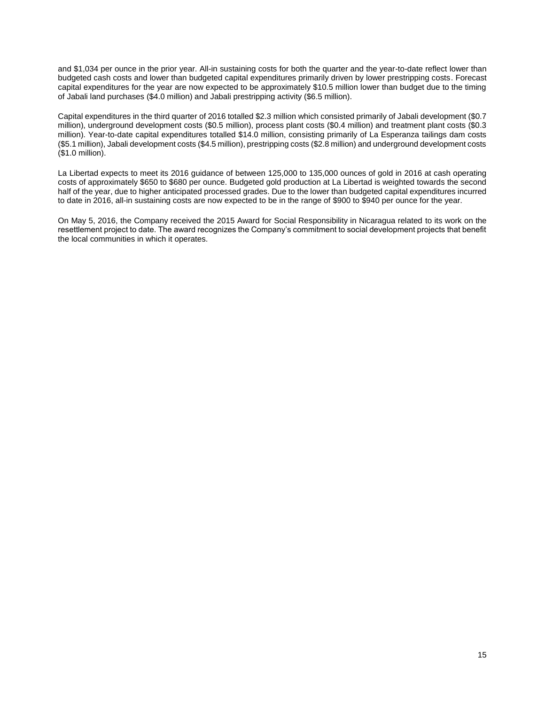and \$1,034 per ounce in the prior year. All-in sustaining costs for both the quarter and the year-to-date reflect lower than budgeted cash costs and lower than budgeted capital expenditures primarily driven by lower prestripping costs. Forecast capital expenditures for the year are now expected to be approximately \$10.5 million lower than budget due to the timing of Jabali land purchases (\$4.0 million) and Jabali prestripping activity (\$6.5 million).

Capital expenditures in the third quarter of 2016 totalled \$2.3 million which consisted primarily of Jabali development (\$0.7 million), underground development costs (\$0.5 million), process plant costs (\$0.4 million) and treatment plant costs (\$0.3 million). Year-to-date capital expenditures totalled \$14.0 million, consisting primarily of La Esperanza tailings dam costs (\$5.1 million), Jabali development costs (\$4.5 million), prestripping costs (\$2.8 million) and underground development costs (\$1.0 million).

La Libertad expects to meet its 2016 guidance of between 125,000 to 135,000 ounces of gold in 2016 at cash operating costs of approximately \$650 to \$680 per ounce. Budgeted gold production at La Libertad is weighted towards the second half of the year, due to higher anticipated processed grades. Due to the lower than budgeted capital expenditures incurred to date in 2016, all-in sustaining costs are now expected to be in the range of \$900 to \$940 per ounce for the year.

On May 5, 2016, the Company received the 2015 Award for Social Responsibility in Nicaragua related to its work on the resettlement project to date. The award recognizes the Company's commitment to social development projects that benefit the local communities in which it operates.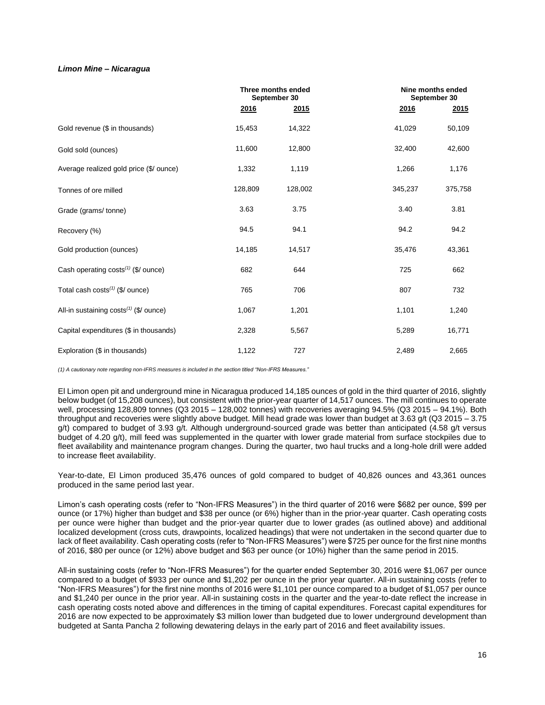## *Limon Mine – Nicaragua*

|                                                    |              | Three months ended<br>September 30 |         | Nine months ended<br>September 30 |  |
|----------------------------------------------------|--------------|------------------------------------|---------|-----------------------------------|--|
|                                                    | <u> 2016</u> | 2015                               | 2016    | 2015                              |  |
| Gold revenue (\$ in thousands)                     | 15,453       | 14,322                             | 41,029  | 50,109                            |  |
| Gold sold (ounces)                                 | 11,600       | 12,800                             | 32,400  | 42,600                            |  |
| Average realized gold price (\$/ ounce)            | 1,332        | 1,119                              | 1,266   | 1,176                             |  |
| Tonnes of ore milled                               | 128,809      | 128,002                            | 345,237 | 375,758                           |  |
| Grade (grams/tonne)                                | 3.63         | 3.75                               | 3.40    | 3.81                              |  |
| Recovery (%)                                       | 94.5         | 94.1                               | 94.2    | 94.2                              |  |
| Gold production (ounces)                           | 14,185       | 14,517                             | 35,476  | 43,361                            |  |
| Cash operating costs $(1)$ (\$/ ounce)             | 682          | 644                                | 725     | 662                               |  |
| Total cash costs <sup>(1)</sup> (\$/ ounce)        | 765          | 706                                | 807     | 732                               |  |
| All-in sustaining costs <sup>(1)</sup> (\$/ ounce) | 1,067        | 1,201                              | 1,101   | 1,240                             |  |
| Capital expenditures (\$ in thousands)             | 2,328        | 5,567                              | 5,289   | 16,771                            |  |
| Exploration (\$ in thousands)                      | 1,122        | 727                                | 2,489   | 2,665                             |  |

*(1) A cautionary note regarding non-IFRS measures is included in the section titled "Non-IFRS Measures."*

El Limon open pit and underground mine in Nicaragua produced 14,185 ounces of gold in the third quarter of 2016, slightly below budget (of 15,208 ounces), but consistent with the prior-year quarter of 14,517 ounces. The mill continues to operate well, processing 128,809 tonnes (Q3 2015 – 128,002 tonnes) with recoveries averaging 94.5% (Q3 2015 – 94.1%). Both throughput and recoveries were slightly above budget. Mill head grade was lower than budget at 3.63 g/t (Q3 2015 – 3.75 g/t) compared to budget of 3.93 g/t. Although underground-sourced grade was better than anticipated (4.58 g/t versus budget of 4.20 g/t), mill feed was supplemented in the quarter with lower grade material from surface stockpiles due to fleet availability and maintenance program changes. During the quarter, two haul trucks and a long-hole drill were added to increase fleet availability.

Year-to-date, El Limon produced 35,476 ounces of gold compared to budget of 40,826 ounces and 43,361 ounces produced in the same period last year.

Limon's cash operating costs (refer to "Non-IFRS Measures") in the third quarter of 2016 were \$682 per ounce, \$99 per ounce (or 17%) higher than budget and \$38 per ounce (or 6%) higher than in the prior-year quarter. Cash operating costs per ounce were higher than budget and the prior-year quarter due to lower grades (as outlined above) and additional localized development (cross cuts, drawpoints, localized headings) that were not undertaken in the second quarter due to lack of fleet availability. Cash operating costs (refer to "Non-IFRS Measures") were \$725 per ounce for the first nine months of 2016, \$80 per ounce (or 12%) above budget and \$63 per ounce (or 10%) higher than the same period in 2015.

All-in sustaining costs (refer to "Non-IFRS Measures") for the quarter ended September 30, 2016 were \$1,067 per ounce compared to a budget of \$933 per ounce and \$1,202 per ounce in the prior year quarter. All-in sustaining costs (refer to "Non-IFRS Measures") for the first nine months of 2016 were \$1,101 per ounce compared to a budget of \$1,057 per ounce and \$1,240 per ounce in the prior year. All-in sustaining costs in the quarter and the year-to-date reflect the increase in cash operating costs noted above and differences in the timing of capital expenditures. Forecast capital expenditures for 2016 are now expected to be approximately \$3 million lower than budgeted due to lower underground development than budgeted at Santa Pancha 2 following dewatering delays in the early part of 2016 and fleet availability issues.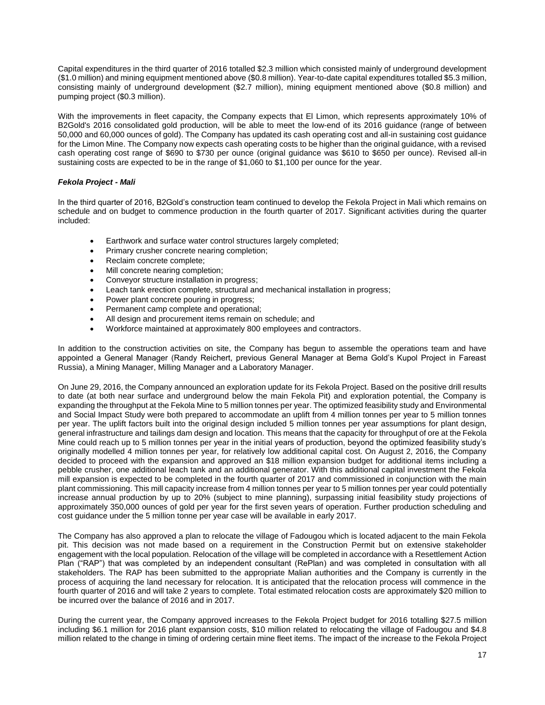Capital expenditures in the third quarter of 2016 totalled \$2.3 million which consisted mainly of underground development (\$1.0 million) and mining equipment mentioned above (\$0.8 million). Year-to-date capital expenditures totalled \$5.3 million, consisting mainly of underground development (\$2.7 million), mining equipment mentioned above (\$0.8 million) and pumping project (\$0.3 million).

With the improvements in fleet capacity, the Company expects that El Limon, which represents approximately 10% of B2Gold's 2016 consolidated gold production, will be able to meet the low-end of its 2016 guidance (range of between 50,000 and 60,000 ounces of gold). The Company has updated its cash operating cost and all-in sustaining cost guidance for the Limon Mine. The Company now expects cash operating costs to be higher than the original guidance, with a revised cash operating cost range of \$690 to \$730 per ounce (original guidance was \$610 to \$650 per ounce). Revised all-in sustaining costs are expected to be in the range of \$1,060 to \$1,100 per ounce for the year.

# *Fekola Project - Mali*

In the third quarter of 2016, B2Gold's construction team continued to develop the Fekola Project in Mali which remains on schedule and on budget to commence production in the fourth quarter of 2017. Significant activities during the quarter included:

- Earthwork and surface water control structures largely completed;
- Primary crusher concrete nearing completion;
- Reclaim concrete complete;
- Mill concrete nearing completion;
- Conveyor structure installation in progress;
- Leach tank erection complete, structural and mechanical installation in progress;
- Power plant concrete pouring in progress;
- Permanent camp complete and operational;
- All design and procurement items remain on schedule; and
- Workforce maintained at approximately 800 employees and contractors.

In addition to the construction activities on site, the Company has begun to assemble the operations team and have appointed a General Manager (Randy Reichert, previous General Manager at Bema Gold's Kupol Project in Fareast Russia), a Mining Manager, Milling Manager and a Laboratory Manager.

On June 29, 2016, the Company announced an exploration update for its Fekola Project. Based on the positive drill results to date (at both near surface and underground below the main Fekola Pit) and exploration potential, the Company is expanding the throughput at the Fekola Mine to 5 million tonnes per year. The optimized feasibility study and Environmental and Social Impact Study were both prepared to accommodate an uplift from 4 million tonnes per year to 5 million tonnes per year. The uplift factors built into the original design included 5 million tonnes per year assumptions for plant design, general infrastructure and tailings dam design and location. This means that the capacity for throughput of ore at the Fekola Mine could reach up to 5 million tonnes per year in the initial years of production, beyond the optimized feasibility study's originally modelled 4 million tonnes per year, for relatively low additional capital cost. On August 2, 2016, the Company decided to proceed with the expansion and approved an \$18 million expansion budget for additional items including a pebble crusher, one additional leach tank and an additional generator. With this additional capital investment the Fekola mill expansion is expected to be completed in the fourth quarter of 2017 and commissioned in conjunction with the main plant commissioning. This mill capacity increase from 4 million tonnes per year to 5 million tonnes per year could potentially increase annual production by up to 20% (subject to mine planning), surpassing initial feasibility study projections of approximately 350,000 ounces of gold per year for the first seven years of operation. Further production scheduling and cost guidance under the 5 million tonne per year case will be available in early 2017.

The Company has also approved a plan to relocate the village of Fadougou which is located adjacent to the main Fekola pit. This decision was not made based on a requirement in the Construction Permit but on extensive stakeholder engagement with the local population. Relocation of the village will be completed in accordance with a Resettlement Action Plan ("RAP") that was completed by an independent consultant (RePlan) and was completed in consultation with all stakeholders. The RAP has been submitted to the appropriate Malian authorities and the Company is currently in the process of acquiring the land necessary for relocation. It is anticipated that the relocation process will commence in the fourth quarter of 2016 and will take 2 years to complete. Total estimated relocation costs are approximately \$20 million to be incurred over the balance of 2016 and in 2017.

During the current year, the Company approved increases to the Fekola Project budget for 2016 totalling \$27.5 million including \$6.1 million for 2016 plant expansion costs, \$10 million related to relocating the village of Fadougou and \$4.8 million related to the change in timing of ordering certain mine fleet items. The impact of the increase to the Fekola Project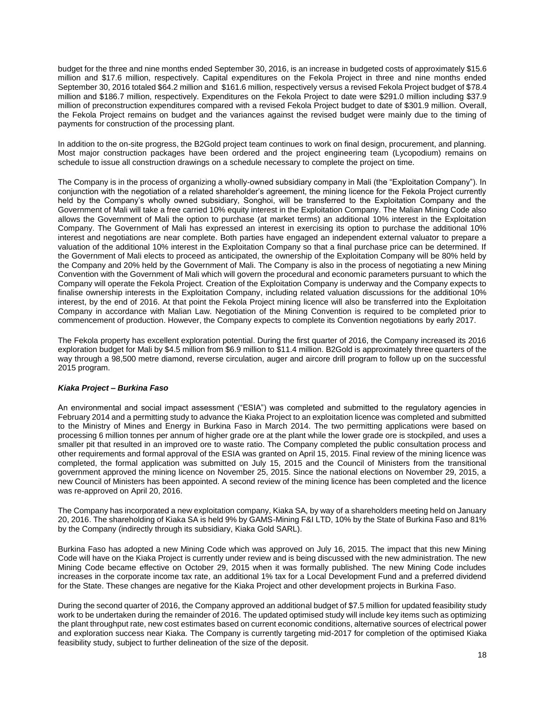budget for the three and nine months ended September 30, 2016, is an increase in budgeted costs of approximately \$15.6 million and \$17.6 million, respectively. Capital expenditures on the Fekola Project in three and nine months ended September 30, 2016 totaled \$64.2 million and \$161.6 million, respectively versus a revised Fekola Project budget of \$78.4 million and \$186.7 million, respectively. Expenditures on the Fekola Project to date were \$291.0 million including \$37.9 million of preconstruction expenditures compared with a revised Fekola Project budget to date of \$301.9 million. Overall, the Fekola Project remains on budget and the variances against the revised budget were mainly due to the timing of payments for construction of the processing plant.

In addition to the on-site progress, the B2Gold project team continues to work on final design, procurement, and planning. Most major construction packages have been ordered and the project engineering team (Lycopodium) remains on schedule to issue all construction drawings on a schedule necessary to complete the project on time.

The Company is in the process of organizing a wholly-owned subsidiary company in Mali (the "Exploitation Company"). In conjunction with the negotiation of a related shareholder's agreement, the mining licence for the Fekola Project currently held by the Company's wholly owned subsidiary, Songhoi, will be transferred to the Exploitation Company and the Government of Mali will take a free carried 10% equity interest in the Exploitation Company. The Malian Mining Code also allows the Government of Mali the option to purchase (at market terms) an additional 10% interest in the Exploitation Company. The Government of Mali has expressed an interest in exercising its option to purchase the additional 10% interest and negotiations are near complete. Both parties have engaged an independent external valuator to prepare a valuation of the additional 10% interest in the Exploitation Company so that a final purchase price can be determined. If the Government of Mali elects to proceed as anticipated, the ownership of the Exploitation Company will be 80% held by the Company and 20% held by the Government of Mali. The Company is also in the process of negotiating a new Mining Convention with the Government of Mali which will govern the procedural and economic parameters pursuant to which the Company will operate the Fekola Project. Creation of the Exploitation Company is underway and the Company expects to finalise ownership interests in the Exploitation Company, including related valuation discussions for the additional 10% interest, by the end of 2016. At that point the Fekola Project mining licence will also be transferred into the Exploitation Company in accordance with Malian Law. Negotiation of the Mining Convention is required to be completed prior to commencement of production. However, the Company expects to complete its Convention negotiations by early 2017.

The Fekola property has excellent exploration potential. During the first quarter of 2016, the Company increased its 2016 exploration budget for Mali by \$4.5 million from \$6.9 million to \$11.4 million. B2Gold is approximately three quarters of the way through a 98,500 metre diamond, reverse circulation, auger and aircore drill program to follow up on the successful 2015 program.

## *Kiaka Project – Burkina Faso*

An environmental and social impact assessment ("ESIA") was completed and submitted to the regulatory agencies in February 2014 and a permitting study to advance the Kiaka Project to an exploitation licence was completed and submitted to the Ministry of Mines and Energy in Burkina Faso in March 2014. The two permitting applications were based on processing 6 million tonnes per annum of higher grade ore at the plant while the lower grade ore is stockpiled, and uses a smaller pit that resulted in an improved ore to waste ratio. The Company completed the public consultation process and other requirements and formal approval of the ESIA was granted on April 15, 2015. Final review of the mining licence was completed, the formal application was submitted on July 15, 2015 and the Council of Ministers from the transitional government approved the mining licence on November 25, 2015. Since the national elections on November 29, 2015, a new Council of Ministers has been appointed. A second review of the mining licence has been completed and the licence was re-approved on April 20, 2016.

The Company has incorporated a new exploitation company, Kiaka SA, by way of a shareholders meeting held on January 20, 2016. The shareholding of Kiaka SA is held 9% by GAMS-Mining F&I LTD, 10% by the State of Burkina Faso and 81% by the Company (indirectly through its subsidiary, Kiaka Gold SARL).

Burkina Faso has adopted a new Mining Code which was approved on July 16, 2015. The impact that this new Mining Code will have on the Kiaka Project is currently under review and is being discussed with the new administration. The new Mining Code became effective on October 29, 2015 when it was formally published. The new Mining Code includes increases in the corporate income tax rate, an additional 1% tax for a Local Development Fund and a preferred dividend for the State. These changes are negative for the Kiaka Project and other development projects in Burkina Faso.

During the second quarter of 2016, the Company approved an additional budget of \$7.5 million for updated feasibility study work to be undertaken during the remainder of 2016. The updated optimised study will include key items such as optimizing the plant throughput rate, new cost estimates based on current economic conditions, alternative sources of electrical power and exploration success near Kiaka. The Company is currently targeting mid-2017 for completion of the optimised Kiaka feasibility study, subject to further delineation of the size of the deposit.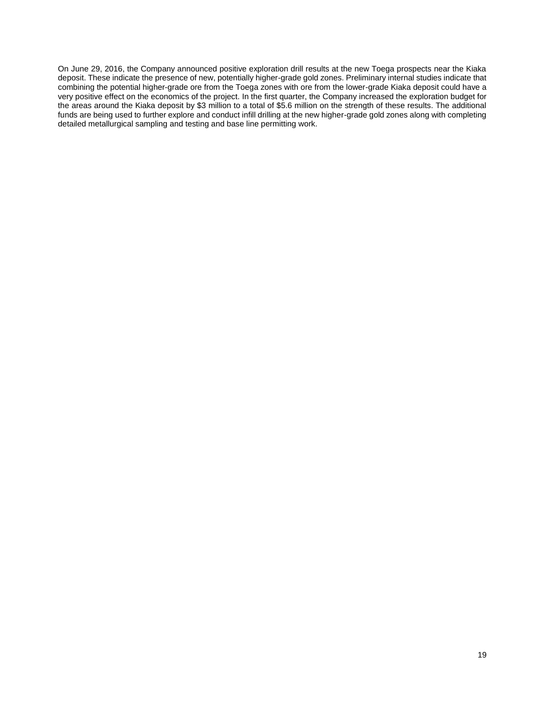On June 29, 2016, the Company announced positive exploration drill results at the new Toega prospects near the Kiaka deposit. These indicate the presence of new, potentially higher-grade gold zones. Preliminary internal studies indicate that combining the potential higher-grade ore from the Toega zones with ore from the lower-grade Kiaka deposit could have a very positive effect on the economics of the project. In the first quarter, the Company increased the exploration budget for the areas around the Kiaka deposit by \$3 million to a total of \$5.6 million on the strength of these results. The additional funds are being used to further explore and conduct infill drilling at the new higher-grade gold zones along with completing detailed metallurgical sampling and testing and base line permitting work.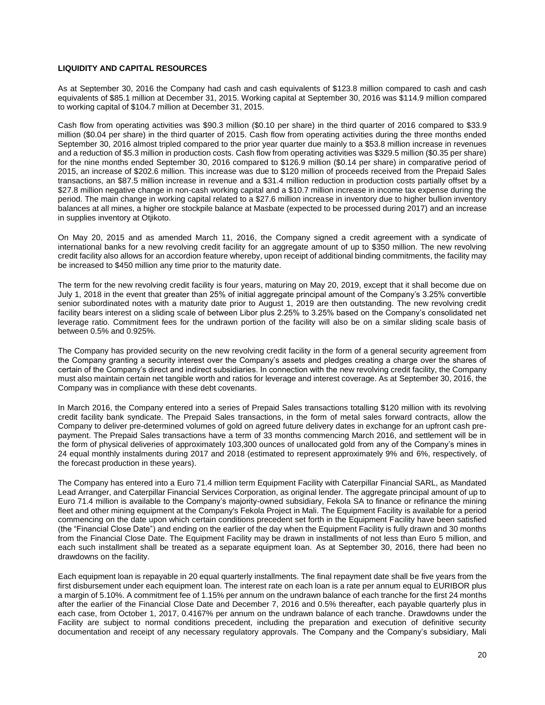## **LIQUIDITY AND CAPITAL RESOURCES**

As at September 30, 2016 the Company had cash and cash equivalents of \$123.8 million compared to cash and cash equivalents of \$85.1 million at December 31, 2015. Working capital at September 30, 2016 was \$114.9 million compared to working capital of \$104.7 million at December 31, 2015.

Cash flow from operating activities was \$90.3 million (\$0.10 per share) in the third quarter of 2016 compared to \$33.9 million (\$0.04 per share) in the third quarter of 2015. Cash flow from operating activities during the three months ended September 30, 2016 almost tripled compared to the prior year quarter due mainly to a \$53.8 million increase in revenues and a reduction of \$5.3 million in production costs. Cash flow from operating activities was \$329.5 million (\$0.35 per share) for the nine months ended September 30, 2016 compared to \$126.9 million (\$0.14 per share) in comparative period of 2015, an increase of \$202.6 million. This increase was due to \$120 million of proceeds received from the Prepaid Sales transactions, an \$87.5 million increase in revenue and a \$31.4 million reduction in production costs partially offset by a \$27.8 million negative change in non-cash working capital and a \$10.7 million increase in income tax expense during the period. The main change in working capital related to a \$27.6 million increase in inventory due to higher bullion inventory balances at all mines, a higher ore stockpile balance at Masbate (expected to be processed during 2017) and an increase in supplies inventory at Otjikoto.

On May 20, 2015 and as amended March 11, 2016, the Company signed a credit agreement with a syndicate of international banks for a new revolving credit facility for an aggregate amount of up to \$350 million. The new revolving credit facility also allows for an accordion feature whereby, upon receipt of additional binding commitments, the facility may be increased to \$450 million any time prior to the maturity date.

The term for the new revolving credit facility is four years, maturing on May 20, 2019, except that it shall become due on July 1, 2018 in the event that greater than 25% of initial aggregate principal amount of the Company's 3.25% convertible senior subordinated notes with a maturity date prior to August 1, 2019 are then outstanding. The new revolving credit facility bears interest on a sliding scale of between Libor plus 2.25% to 3.25% based on the Company's consolidated net leverage ratio. Commitment fees for the undrawn portion of the facility will also be on a similar sliding scale basis of between 0.5% and 0.925%.

The Company has provided security on the new revolving credit facility in the form of a general security agreement from the Company granting a security interest over the Company's assets and pledges creating a charge over the shares of certain of the Company's direct and indirect subsidiaries. In connection with the new revolving credit facility, the Company must also maintain certain net tangible worth and ratios for leverage and interest coverage. As at September 30, 2016, the Company was in compliance with these debt covenants.

In March 2016, the Company entered into a series of Prepaid Sales transactions totalling \$120 million with its revolving credit facility bank syndicate. The Prepaid Sales transactions, in the form of metal sales forward contracts, allow the Company to deliver pre-determined volumes of gold on agreed future delivery dates in exchange for an upfront cash prepayment. The Prepaid Sales transactions have a term of 33 months commencing March 2016, and settlement will be in the form of physical deliveries of approximately 103,300 ounces of unallocated gold from any of the Company's mines in 24 equal monthly instalments during 2017 and 2018 (estimated to represent approximately 9% and 6%, respectively, of the forecast production in these years).

The Company has entered into a Euro 71.4 million term Equipment Facility with Caterpillar Financial SARL, as Mandated Lead Arranger, and Caterpillar Financial Services Corporation, as original lender. The aggregate principal amount of up to Euro 71.4 million is available to the Company's majority-owned subsidiary, Fekola SA to finance or refinance the mining fleet and other mining equipment at the Company's Fekola Project in Mali. The Equipment Facility is available for a period commencing on the date upon which certain conditions precedent set forth in the Equipment Facility have been satisfied (the "Financial Close Date") and ending on the earlier of the day when the Equipment Facility is fully drawn and 30 months from the Financial Close Date. The Equipment Facility may be drawn in installments of not less than Euro 5 million, and each such installment shall be treated as a separate equipment loan. As at September 30, 2016, there had been no drawdowns on the facility.

Each equipment loan is repayable in 20 equal quarterly installments. The final repayment date shall be five years from the first disbursement under each equipment loan. The interest rate on each loan is a rate per annum equal to EURIBOR plus a margin of 5.10%. A commitment fee of 1.15% per annum on the undrawn balance of each tranche for the first 24 months after the earlier of the Financial Close Date and December 7, 2016 and 0.5% thereafter, each payable quarterly plus in each case, from October 1, 2017, 0.4167% per annum on the undrawn balance of each tranche. Drawdowns under the Facility are subject to normal conditions precedent, including the preparation and execution of definitive security documentation and receipt of any necessary regulatory approvals. The Company and the Company's subsidiary, Mali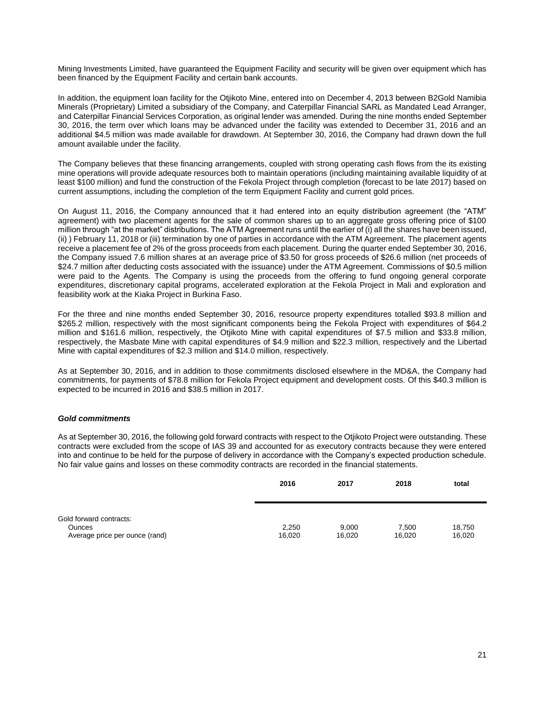Mining Investments Limited, have guaranteed the Equipment Facility and security will be given over equipment which has been financed by the Equipment Facility and certain bank accounts.

In addition, the equipment loan facility for the Otjikoto Mine, entered into on December 4, 2013 between B2Gold Namibia Minerals (Proprietary) Limited a subsidiary of the Company, and Caterpillar Financial SARL as Mandated Lead Arranger, and Caterpillar Financial Services Corporation, as original lender was amended. During the nine months ended September 30, 2016, the term over which loans may be advanced under the facility was extended to December 31, 2016 and an additional \$4.5 million was made available for drawdown. At September 30, 2016, the Company had drawn down the full amount available under the facility.

The Company believes that these financing arrangements, coupled with strong operating cash flows from the its existing mine operations will provide adequate resources both to maintain operations (including maintaining available liquidity of at least \$100 million) and fund the construction of the Fekola Project through completion (forecast to be late 2017) based on current assumptions, including the completion of the term Equipment Facility and current gold prices.

On August 11, 2016, the Company announced that it had entered into an equity distribution agreement (the "ATM" agreement) with two placement agents for the sale of common shares up to an aggregate gross offering price of \$100 million through "at the market" distributions. The ATM Agreement runs until the earlier of (i) all the shares have been issued, (ii) ) February 11, 2018 or (iii) termination by one of parties in accordance with the ATM Agreement. The placement agents receive a placement fee of 2% of the gross proceeds from each placement. During the quarter ended September 30, 2016, the Company issued 7.6 million shares at an average price of \$3.50 for gross proceeds of \$26.6 million (net proceeds of \$24.7 million after deducting costs associated with the issuance) under the ATM Agreement. Commissions of \$0.5 million were paid to the Agents. The Company is using the proceeds from the offering to fund ongoing general corporate expenditures, discretionary capital programs, accelerated exploration at the Fekola Project in Mali and exploration and feasibility work at the Kiaka Project in Burkina Faso.

For the three and nine months ended September 30, 2016, resource property expenditures totalled \$93.8 million and \$265.2 million, respectively with the most significant components being the Fekola Project with expenditures of \$64.2 million and \$161.6 million, respectively, the Otjikoto Mine with capital expenditures of \$7.5 million and \$33.8 million, respectively, the Masbate Mine with capital expenditures of \$4.9 million and \$22.3 million, respectively and the Libertad Mine with capital expenditures of \$2.3 million and \$14.0 million, respectively.

As at September 30, 2016, and in addition to those commitments disclosed elsewhere in the MD&A, the Company had commitments, for payments of \$78.8 million for Fekola Project equipment and development costs. Of this \$40.3 million is expected to be incurred in 2016 and \$38.5 million in 2017.

## *Gold commitments*

As at September 30, 2016, the following gold forward contracts with respect to the Otjikoto Project were outstanding. These contracts were excluded from the scope of IAS 39 and accounted for as executory contracts because they were entered into and continue to be held for the purpose of delivery in accordance with the Company's expected production schedule. No fair value gains and losses on these commodity contracts are recorded in the financial statements.

|                                | 2016   | 2017   | 2018   | total  |
|--------------------------------|--------|--------|--------|--------|
|                                |        |        |        |        |
|                                |        |        |        |        |
| Gold forward contracts:        |        |        |        |        |
| <b>Ounces</b>                  | 2,250  | 9,000  | 7,500  | 18.750 |
| Average price per ounce (rand) | 16,020 | 16,020 | 16,020 | 16,020 |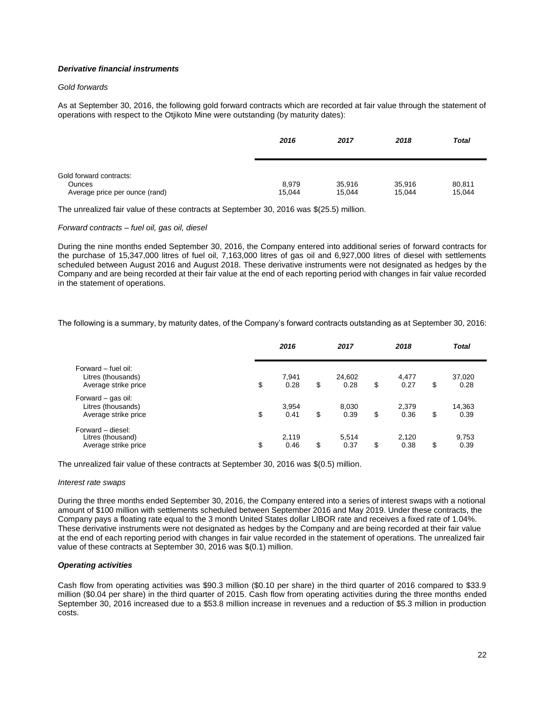# *Derivative financial instruments*

## *Gold forwards*

As at September 30, 2016, the following gold forward contracts which are recorded at fair value through the statement of operations with respect to the Otjikoto Mine were outstanding (by maturity dates):

|                                          | 2016            | 2017             | 2018             | <b>Total</b>     |
|------------------------------------------|-----------------|------------------|------------------|------------------|
|                                          |                 |                  |                  |                  |
| Gold forward contracts:                  |                 |                  |                  |                  |
| Ounces<br>Average price per ounce (rand) | 8,979<br>15,044 | 35,916<br>15,044 | 35,916<br>15,044 | 80,811<br>15,044 |

The unrealized fair value of these contracts at September 30, 2016 was \$(25.5) million.

### *Forward contracts – fuel oil, gas oil, diesel*

During the nine months ended September 30, 2016, the Company entered into additional series of forward contracts for the purchase of 15,347,000 litres of fuel oil, 7,163,000 litres of gas oil and 6,927,000 litres of diesel with settlements scheduled between August 2016 and August 2018. These derivative instruments were not designated as hedges by the Company and are being recorded at their fair value at the end of each reporting period with changes in fair value recorded in the statement of operations.

The following is a summary, by maturity dates, of the Company's forward contracts outstanding as at September 30, 2016:

|                                                                   | 2016                | 2017                 | 2018                | <b>Total</b>         |  |
|-------------------------------------------------------------------|---------------------|----------------------|---------------------|----------------------|--|
| Forward – fuel oil:<br>Litres (thousands)<br>Average strike price | \$<br>7,941<br>0.28 | \$<br>24,602<br>0.28 | \$<br>4,477<br>0.27 | \$<br>37,020<br>0.28 |  |
| Forward - gas oil:<br>Litres (thousands)<br>Average strike price  | \$<br>3,954<br>0.41 | \$<br>8,030<br>0.39  | \$<br>2,379<br>0.36 | \$<br>14,363<br>0.39 |  |
| Forward - diesel:<br>Litres (thousand)<br>Average strike price    | \$<br>2,119<br>0.46 | \$<br>5,514<br>0.37  | \$<br>2,120<br>0.38 | \$<br>9,753<br>0.39  |  |

The unrealized fair value of these contracts at September 30, 2016 was \$(0.5) million.

#### *Interest rate swaps*

During the three months ended September 30, 2016, the Company entered into a series of interest swaps with a notional amount of \$100 million with settlements scheduled between September 2016 and May 2019. Under these contracts, the Company pays a floating rate equal to the 3 month United States dollar LIBOR rate and receives a fixed rate of 1.04%. These derivative instruments were not designated as hedges by the Company and are being recorded at their fair value at the end of each reporting period with changes in fair value recorded in the statement of operations. The unrealized fair value of these contracts at September 30, 2016 was \$(0.1) million.

## *Operating activities*

Cash flow from operating activities was \$90.3 million (\$0.10 per share) in the third quarter of 2016 compared to \$33.9 million (\$0.04 per share) in the third quarter of 2015. Cash flow from operating activities during the three months ended September 30, 2016 increased due to a \$53.8 million increase in revenues and a reduction of \$5.3 million in production costs.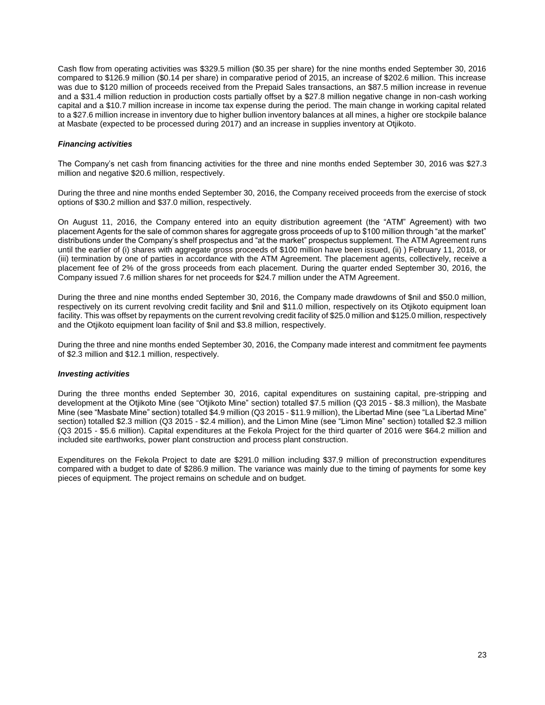Cash flow from operating activities was \$329.5 million (\$0.35 per share) for the nine months ended September 30, 2016 compared to \$126.9 million (\$0.14 per share) in comparative period of 2015, an increase of \$202.6 million. This increase was due to \$120 million of proceeds received from the Prepaid Sales transactions, an \$87.5 million increase in revenue and a \$31.4 million reduction in production costs partially offset by a \$27.8 million negative change in non-cash working capital and a \$10.7 million increase in income tax expense during the period. The main change in working capital related to a \$27.6 million increase in inventory due to higher bullion inventory balances at all mines, a higher ore stockpile balance at Masbate (expected to be processed during 2017) and an increase in supplies inventory at Otjikoto.

### *Financing activities*

The Company's net cash from financing activities for the three and nine months ended September 30, 2016 was \$27.3 million and negative \$20.6 million, respectively.

During the three and nine months ended September 30, 2016, the Company received proceeds from the exercise of stock options of \$30.2 million and \$37.0 million, respectively.

On August 11, 2016, the Company entered into an equity distribution agreement (the "ATM" Agreement) with two placement Agents for the sale of common shares for aggregate gross proceeds of up to \$100 million through "at the market" distributions under the Company's shelf prospectus and "at the market" prospectus supplement. The ATM Agreement runs until the earlier of (i) shares with aggregate gross proceeds of \$100 million have been issued, (ii) ) February 11, 2018, or (iii) termination by one of parties in accordance with the ATM Agreement. The placement agents, collectively, receive a placement fee of 2% of the gross proceeds from each placement. During the quarter ended September 30, 2016, the Company issued 7.6 million shares for net proceeds for \$24.7 million under the ATM Agreement.

During the three and nine months ended September 30, 2016, the Company made drawdowns of \$nil and \$50.0 million, respectively on its current revolving credit facility and \$nil and \$11.0 million, respectively on its Otjikoto equipment loan facility. This was offset by repayments on the current revolving credit facility of \$25.0 million and \$125.0 million, respectively and the Otjikoto equipment loan facility of \$nil and \$3.8 million, respectively.

During the three and nine months ended September 30, 2016, the Company made interest and commitment fee payments of \$2.3 million and \$12.1 million, respectively.

#### *Investing activities*

During the three months ended September 30, 2016, capital expenditures on sustaining capital, pre-stripping and development at the Otjikoto Mine (see "Otjikoto Mine" section) totalled \$7.5 million (Q3 2015 - \$8.3 million), the Masbate Mine (see "Masbate Mine" section) totalled \$4.9 million (Q3 2015 - \$11.9 million), the Libertad Mine (see "La Libertad Mine" section) totalled \$2.3 million (Q3 2015 - \$2.4 million), and the Limon Mine (see "Limon Mine" section) totalled \$2.3 million (Q3 2015 - \$5.6 million). Capital expenditures at the Fekola Project for the third quarter of 2016 were \$64.2 million and included site earthworks, power plant construction and process plant construction.

Expenditures on the Fekola Project to date are \$291.0 million including \$37.9 million of preconstruction expenditures compared with a budget to date of \$286.9 million. The variance was mainly due to the timing of payments for some key pieces of equipment. The project remains on schedule and on budget.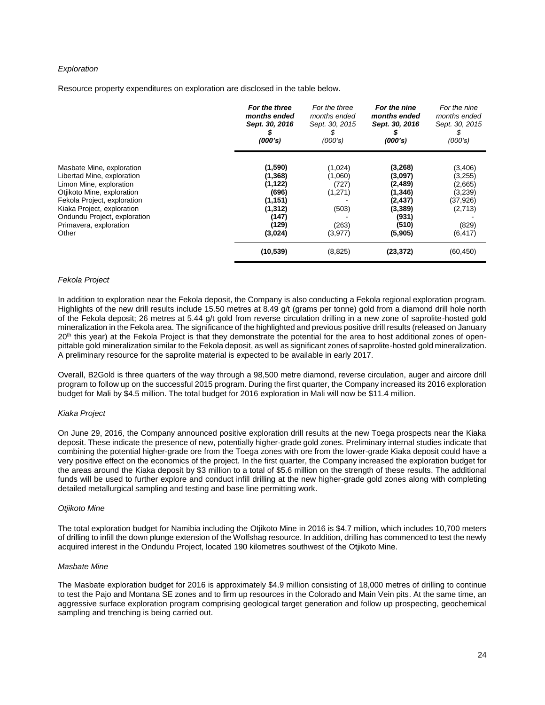### *Exploration*

Resource property expenditures on exploration are disclosed in the table below.

| For the three<br>months ended<br>Sept. 30, 2016<br>(000's)                | For the three<br>months ended<br>Sept. 30, 2015<br>\$<br>(000's) | For the nine<br>months ended<br>Sept. 30, 2016<br>(000's)                    | For the nine<br>months ended<br>Sept. 30, 2015<br>(000's)                 |
|---------------------------------------------------------------------------|------------------------------------------------------------------|------------------------------------------------------------------------------|---------------------------------------------------------------------------|
| (1,590)<br>(1, 368)<br>(1, 122)<br>(696)<br>(1, 151)<br>(1, 312)<br>(147) | (1,024)<br>(1,060)<br>(727)<br>(1,271)<br>(503)                  | (3, 268)<br>(3,097)<br>(2, 489)<br>(1, 346)<br>(2, 437)<br>(3, 389)<br>(931) | (3,406)<br>(3,255)<br>(2,665)<br>(3,239)<br>(37, 926)<br>(2,713)<br>(829) |
| (3,024)                                                                   | (3,977)                                                          | (5,905)                                                                      | (6, 417)<br>(60, 450)                                                     |
|                                                                           | (129)<br>(10, 539)                                               | (263)<br>(8, 825)                                                            | (510)<br>(23, 372)                                                        |

#### *Fekola Project*

In addition to exploration near the Fekola deposit, the Company is also conducting a Fekola regional exploration program. Highlights of the new drill results include 15.50 metres at 8.49 g/t (grams per tonne) gold from a diamond drill hole north of the Fekola deposit; 26 metres at 5.44 g/t gold from reverse circulation drilling in a new zone of saprolite-hosted gold mineralization in the Fekola area. The significance of the highlighted and previous positive drill results (released on January 20<sup>th</sup> this year) at the Fekola Project is that they demonstrate the potential for the area to host additional zones of openpittable gold mineralization similar to the Fekola deposit, as well as significant zones of saprolite-hosted gold mineralization. A preliminary resource for the saprolite material is expected to be available in early 2017.

Overall, B2Gold is three quarters of the way through a 98,500 metre diamond, reverse circulation, auger and aircore drill program to follow up on the successful 2015 program. During the first quarter, the Company increased its 2016 exploration budget for Mali by \$4.5 million. The total budget for 2016 exploration in Mali will now be \$11.4 million.

#### *Kiaka Project*

On June 29, 2016, the Company announced positive exploration drill results at the new Toega prospects near the Kiaka deposit. These indicate the presence of new, potentially higher-grade gold zones. Preliminary internal studies indicate that combining the potential higher-grade ore from the Toega zones with ore from the lower-grade Kiaka deposit could have a very positive effect on the economics of the project. In the first quarter, the Company increased the exploration budget for the areas around the Kiaka deposit by \$3 million to a total of \$5.6 million on the strength of these results. The additional funds will be used to further explore and conduct infill drilling at the new higher-grade gold zones along with completing detailed metallurgical sampling and testing and base line permitting work.

#### *Otjikoto Mine*

The total exploration budget for Namibia including the Otjikoto Mine in 2016 is \$4.7 million, which includes 10,700 meters of drilling to infill the down plunge extension of the Wolfshag resource. In addition, drilling has commenced to test the newly acquired interest in the Ondundu Project, located 190 kilometres southwest of the Otjikoto Mine.

#### *Masbate Mine*

The Masbate exploration budget for 2016 is approximately \$4.9 million consisting of 18,000 metres of drilling to continue to test the Pajo and Montana SE zones and to firm up resources in the Colorado and Main Vein pits. At the same time, an aggressive surface exploration program comprising geological target generation and follow up prospecting, geochemical sampling and trenching is being carried out.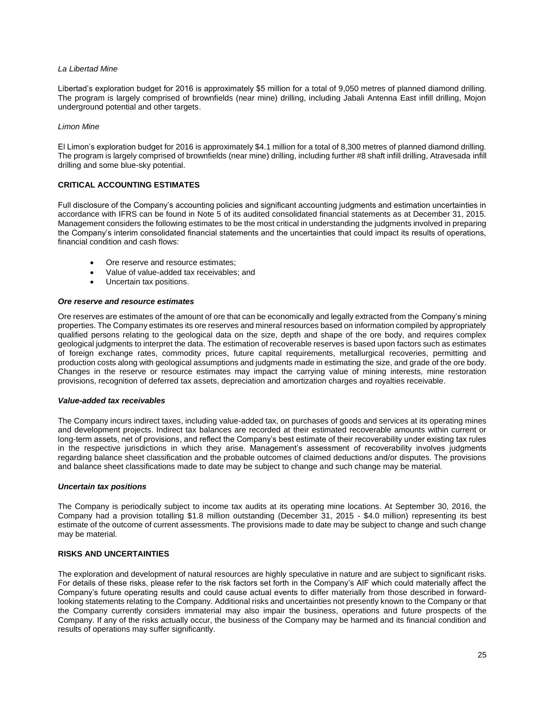## *La Libertad Mine*

Libertad's exploration budget for 2016 is approximately \$5 million for a total of 9,050 metres of planned diamond drilling. The program is largely comprised of brownfields (near mine) drilling, including Jabali Antenna East infill drilling, Mojon underground potential and other targets.

## *Limon Mine*

El Limon's exploration budget for 2016 is approximately \$4.1 million for a total of 8,300 metres of planned diamond drilling. The program is largely comprised of brownfields (near mine) drilling, including further #8 shaft infill drilling, Atravesada infill drilling and some blue-sky potential.

# **CRITICAL ACCOUNTING ESTIMATES**

Full disclosure of the Company's accounting policies and significant accounting judgments and estimation uncertainties in accordance with IFRS can be found in Note 5 of its audited consolidated financial statements as at December 31, 2015. Management considers the following estimates to be the most critical in understanding the judgments involved in preparing the Company's interim consolidated financial statements and the uncertainties that could impact its results of operations, financial condition and cash flows:

- Ore reserve and resource estimates;
- Value of value-added tax receivables; and
- Uncertain tax positions.

### *Ore reserve and resource estimates*

Ore reserves are estimates of the amount of ore that can be economically and legally extracted from the Company's mining properties. The Company estimates its ore reserves and mineral resources based on information compiled by appropriately qualified persons relating to the geological data on the size, depth and shape of the ore body, and requires complex geological judgments to interpret the data. The estimation of recoverable reserves is based upon factors such as estimates of foreign exchange rates, commodity prices, future capital requirements, metallurgical recoveries, permitting and production costs along with geological assumptions and judgments made in estimating the size, and grade of the ore body. Changes in the reserve or resource estimates may impact the carrying value of mining interests, mine restoration provisions, recognition of deferred tax assets, depreciation and amortization charges and royalties receivable.

#### *Value-added tax receivables*

The Company incurs indirect taxes, including value-added tax, on purchases of goods and services at its operating mines and development projects. Indirect tax balances are recorded at their estimated recoverable amounts within current or long-term assets, net of provisions, and reflect the Company's best estimate of their recoverability under existing tax rules in the respective jurisdictions in which they arise. Management's assessment of recoverability involves judgments regarding balance sheet classification and the probable outcomes of claimed deductions and/or disputes. The provisions and balance sheet classifications made to date may be subject to change and such change may be material.

#### *Uncertain tax positions*

The Company is periodically subject to income tax audits at its operating mine locations. At September 30, 2016, the Company had a provision totalling \$1.8 million outstanding (December 31, 2015 - \$4.0 million) representing its best estimate of the outcome of current assessments. The provisions made to date may be subject to change and such change may be material.

## **RISKS AND UNCERTAINTIES**

The exploration and development of natural resources are highly speculative in nature and are subject to significant risks. For details of these risks, please refer to the risk factors set forth in the Company's AIF which could materially affect the Company's future operating results and could cause actual events to differ materially from those described in forwardlooking statements relating to the Company. Additional risks and uncertainties not presently known to the Company or that the Company currently considers immaterial may also impair the business, operations and future prospects of the Company. If any of the risks actually occur, the business of the Company may be harmed and its financial condition and results of operations may suffer significantly.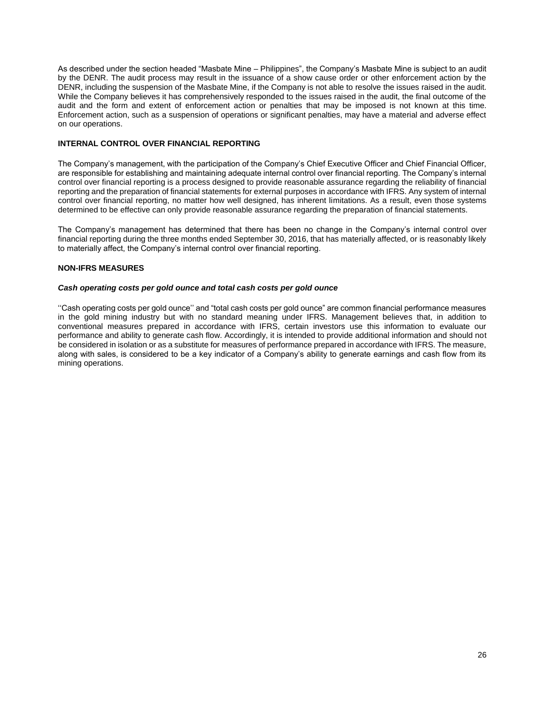As described under the section headed "Masbate Mine – Philippines", the Company's Masbate Mine is subject to an audit by the DENR. The audit process may result in the issuance of a show cause order or other enforcement action by the DENR, including the suspension of the Masbate Mine, if the Company is not able to resolve the issues raised in the audit. While the Company believes it has comprehensively responded to the issues raised in the audit, the final outcome of the audit and the form and extent of enforcement action or penalties that may be imposed is not known at this time. Enforcement action, such as a suspension of operations or significant penalties, may have a material and adverse effect on our operations.

# **INTERNAL CONTROL OVER FINANCIAL REPORTING**

The Company's management, with the participation of the Company's Chief Executive Officer and Chief Financial Officer, are responsible for establishing and maintaining adequate internal control over financial reporting. The Company's internal control over financial reporting is a process designed to provide reasonable assurance regarding the reliability of financial reporting and the preparation of financial statements for external purposes in accordance with IFRS. Any system of internal control over financial reporting, no matter how well designed, has inherent limitations. As a result, even those systems determined to be effective can only provide reasonable assurance regarding the preparation of financial statements.

The Company's management has determined that there has been no change in the Company's internal control over financial reporting during the three months ended September 30, 2016, that has materially affected, or is reasonably likely to materially affect, the Company's internal control over financial reporting.

## **NON-IFRS MEASURES**

## *Cash operating costs per gold ounce and total cash costs per gold ounce*

''Cash operating costs per gold ounce'' and "total cash costs per gold ounce" are common financial performance measures in the gold mining industry but with no standard meaning under IFRS. Management believes that, in addition to conventional measures prepared in accordance with IFRS, certain investors use this information to evaluate our performance and ability to generate cash flow. Accordingly, it is intended to provide additional information and should not be considered in isolation or as a substitute for measures of performance prepared in accordance with IFRS. The measure, along with sales, is considered to be a key indicator of a Company's ability to generate earnings and cash flow from its mining operations.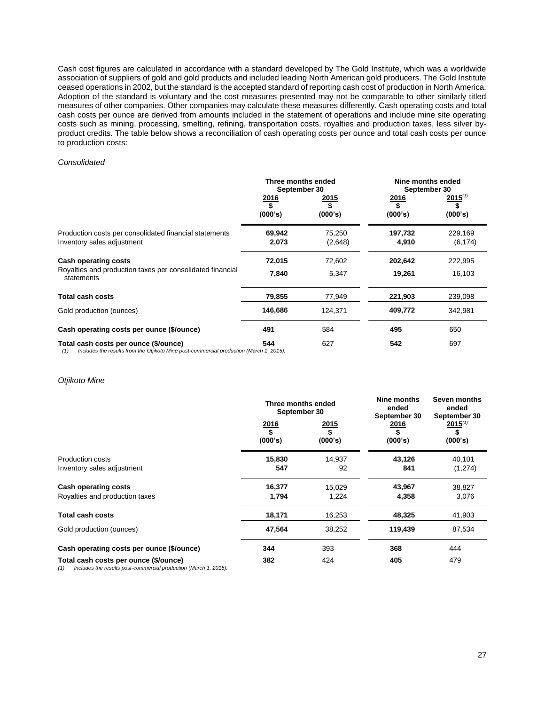Cash cost figures are calculated in accordance with a standard developed by The Gold Institute, which was a worldwide association of suppliers of gold and gold products and included leading North American gold producers. The Gold Institute ceased operations in 2002, but the standard is the accepted standard of reporting cash cost of production in North America. Adoption of the standard is voluntary and the cost measures presented may not be comparable to other similarly titled measures of other companies. Other companies may calculate these measures differently. Cash operating costs and total cash costs per ounce are derived from amounts included in the statement of operations and include mine site operating costs such as mining, processing, smelting, refining, transportation costs, royalties and production taxes, less silver byproduct credits. The table below shows a reconciliation of cash operating costs per ounce and total cash costs per ounce to production costs:

#### *Consolidated*

|                                                                                                                                         | Three months ended<br>September 30 |                        | Nine months ended<br>September 30 |                               |
|-----------------------------------------------------------------------------------------------------------------------------------------|------------------------------------|------------------------|-----------------------------------|-------------------------------|
|                                                                                                                                         | <u>2016</u><br>(000's)             | <u>2015</u><br>(000's) | <u>2016</u><br>\$<br>(000's)      | $2015^{(1)}$<br>\$<br>(000's) |
| Production costs per consolidated financial statements<br>Inventory sales adjustment                                                    | 69,942<br>2,073                    | 75,250<br>(2,648)      | 197,732<br>4,910                  | 229,169<br>(6, 174)           |
| Cash operating costs<br>Royalties and production taxes per consolidated financial                                                       | 72,015                             | 72.602                 | 202,642                           | 222,995                       |
| statements                                                                                                                              | 7,840                              | 5,347                  | 19,261                            | 16,103                        |
| <b>Total cash costs</b>                                                                                                                 | 79,855                             | 77,949                 | 221,903                           | 239,098                       |
| Gold production (ounces)                                                                                                                | 146,686                            | 124,371                | 409,772                           | 342,981                       |
| Cash operating costs per ounce (\$/ounce)                                                                                               | 491                                | 584                    | 495                               | 650                           |
| Total cash costs per ounce (\$/ounce)<br>Includes the results from the Otjikoto Mine post-commercial production (March 1, 2015).<br>(1) | 544                                | 627                    | 542                               | 697                           |

#### *Otjikoto Mine*

|                                                                                                                  | Three months ended<br>September 30 |                 | Nine months<br>ended<br>September 30 | Seven months<br>ended<br>September 30 |  |
|------------------------------------------------------------------------------------------------------------------|------------------------------------|-----------------|--------------------------------------|---------------------------------------|--|
|                                                                                                                  | 2016<br>\$<br>(000's)              | 2015<br>(000's) | 2016<br>(000's)                      | $2015^{(1)}$<br>\$<br>(000's)         |  |
| Production costs                                                                                                 | 15,830                             | 14,937          | 43,126                               | 40,101                                |  |
| Inventory sales adjustment                                                                                       | 547                                | 92              | 841                                  | (1,274)                               |  |
| <b>Cash operating costs</b>                                                                                      | 16,377                             | 15,029          | 43,967                               | 38,827                                |  |
| Royalties and production taxes                                                                                   | 1,794                              | 1,224           | 4,358                                | 3,076                                 |  |
| <b>Total cash costs</b>                                                                                          | 18,171                             | 16,253          | 48,325                               | 41,903                                |  |
| Gold production (ounces)                                                                                         | 47,564                             | 38,252          | 119,439                              | 87,534                                |  |
| Cash operating costs per ounce (\$/ounce)                                                                        | 344                                | 393             | 368                                  | 444                                   |  |
| Total cash costs per ounce (\$/ounce)<br>Includes the results post-commercial production (March 1, 2015).<br>(1) | 382                                | 424             | 405                                  | 479                                   |  |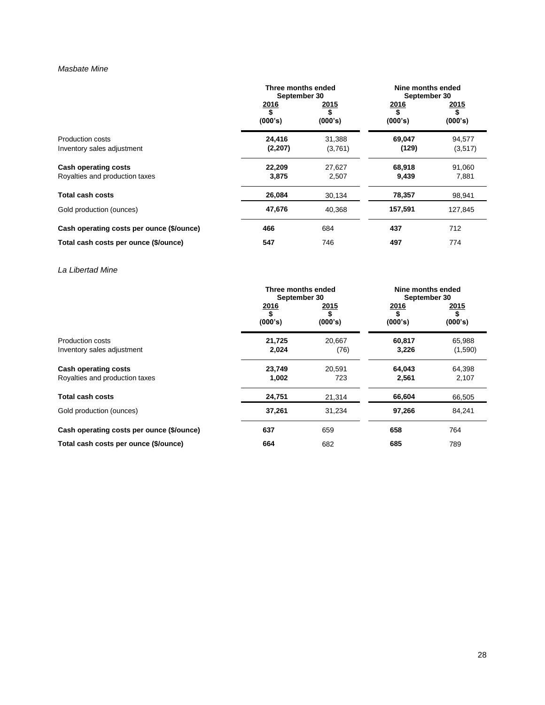# *Masbate Mine*

|                                           | Three months ended<br>September 30 |                               | Nine months ended<br>September 30 |                         |
|-------------------------------------------|------------------------------------|-------------------------------|-----------------------------------|-------------------------|
|                                           | 2016<br>\$<br>(000's)              | <u> 2015</u><br>\$<br>(000's) | <u> 2016</u><br>\$<br>(000's)     | <u> 2015</u><br>(000's) |
| Production costs                          | 24,416                             | 31,388                        | 69,047                            | 94,577                  |
| Inventory sales adjustment                | (2,207)                            | (3,761)                       | (129)                             | (3,517)                 |
| Cash operating costs                      | 22,209                             | 27,627                        | 68,918                            | 91,060                  |
| Royalties and production taxes            | 3,875                              | 2,507                         | 9,439                             | 7,881                   |
| <b>Total cash costs</b>                   | 26,084                             | 30,134                        | 78,357                            | 98,941                  |
| Gold production (ounces)                  | 47,676                             | 40,368                        | 157,591                           | 127,845                 |
| Cash operating costs per ounce (\$/ounce) | 466                                | 684                           | 437                               | 712                     |
| Total cash costs per ounce (\$/ounce)     | 547                                | 746                           | 497                               | 774                     |

*La Libertad Mine*

|                                                               | Three months ended<br>September 30 |                 | Nine months ended<br>September 30 |                              |
|---------------------------------------------------------------|------------------------------------|-----------------|-----------------------------------|------------------------------|
|                                                               | <u> 2016</u><br>\$<br>(000's)      | 2015<br>(000's) | <u>2016</u><br>(000's)            | <u>2015</u><br>\$<br>(000's) |
| Production costs<br>Inventory sales adjustment                | 21,725<br>2,024                    | 20,667<br>(76)  | 60,817<br>3,226                   | 65,988<br>(1,590)            |
| <b>Cash operating costs</b><br>Royalties and production taxes | 23,749<br>1,002                    | 20,591<br>723   | 64,043<br>2,561                   | 64,398<br>2,107              |
| <b>Total cash costs</b>                                       | 24,751                             | 21,314          | 66,604                            | 66,505                       |
| Gold production (ounces)                                      | 37,261                             | 31,234          | 97,266                            | 84,241                       |
| Cash operating costs per ounce (\$/ounce)                     | 637                                | 659             | 658                               | 764                          |
| Total cash costs per ounce (\$/ounce)                         | 664                                | 682             | 685                               | 789                          |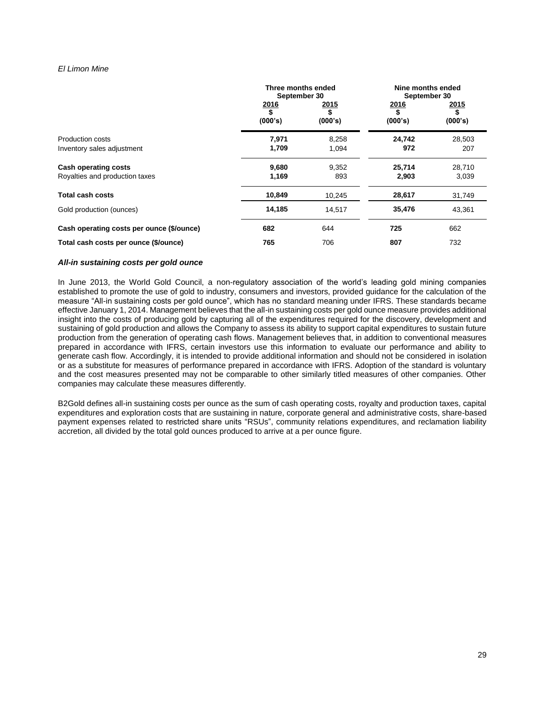## *El Limon Mine*

|                                           | Three months ended<br>September 30 |                 | Nine months ended<br>September 30 |                       |
|-------------------------------------------|------------------------------------|-----------------|-----------------------------------|-----------------------|
|                                           | 2016<br>\$<br>(000's)              | 2015<br>(000's) | 2016<br>(000's)                   | 2015<br>\$<br>(000's) |
| Production costs                          | 7,971                              | 8,258           | 24,742                            | 28,503                |
| Inventory sales adjustment                | 1,709                              | 1,094           | 972                               | 207                   |
| Cash operating costs                      | 9,680                              | 9,352           | 25,714                            | 28,710                |
| Royalties and production taxes            | 1,169                              | 893             | 2,903                             | 3,039                 |
| <b>Total cash costs</b>                   | 10,849                             | 10,245          | 28,617                            | 31,749                |
| Gold production (ounces)                  | 14,185                             | 14,517          | 35,476                            | 43,361                |
| Cash operating costs per ounce (\$/ounce) | 682                                | 644             | 725                               | 662                   |
| Total cash costs per ounce (\$/ounce)     | 765                                | 706             | 807                               | 732                   |

### *All-in sustaining costs per gold ounce*

In June 2013, the World Gold Council, a non-regulatory association of the world's leading gold mining companies established to promote the use of gold to industry, consumers and investors, provided guidance for the calculation of the measure "All-in sustaining costs per gold ounce", which has no standard meaning under IFRS. These standards became effective January 1, 2014. Management believes that the all-in sustaining costs per gold ounce measure provides additional insight into the costs of producing gold by capturing all of the expenditures required for the discovery, development and sustaining of gold production and allows the Company to assess its ability to support capital expenditures to sustain future production from the generation of operating cash flows. Management believes that, in addition to conventional measures prepared in accordance with IFRS, certain investors use this information to evaluate our performance and ability to generate cash flow. Accordingly, it is intended to provide additional information and should not be considered in isolation or as a substitute for measures of performance prepared in accordance with IFRS. Adoption of the standard is voluntary and the cost measures presented may not be comparable to other similarly titled measures of other companies. Other companies may calculate these measures differently.

B2Gold defines all-in sustaining costs per ounce as the sum of cash operating costs, royalty and production taxes, capital expenditures and exploration costs that are sustaining in nature, corporate general and administrative costs, share-based payment expenses related to restricted share units "RSUs", community relations expenditures, and reclamation liability accretion, all divided by the total gold ounces produced to arrive at a per ounce figure.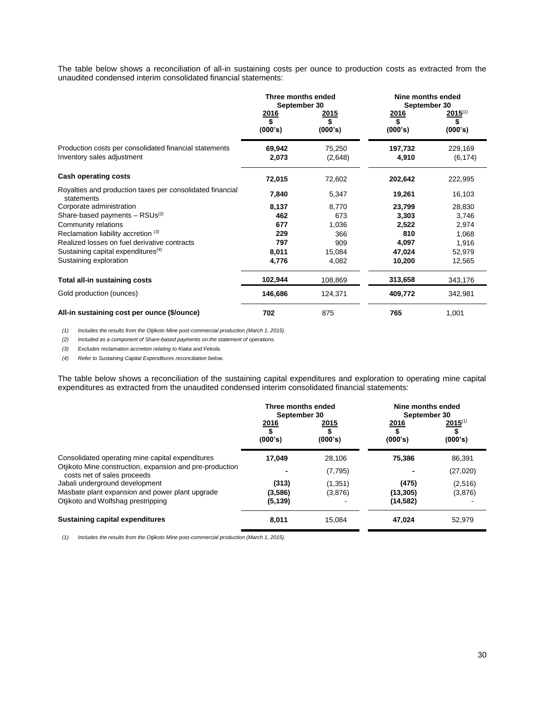The table below shows a reconciliation of all-in sustaining costs per ounce to production costs as extracted from the unaudited condensed interim consolidated financial statements:

|                                                                                      | Three months ended<br>September 30 |                               | Nine months ended<br>September 30 |                               |
|--------------------------------------------------------------------------------------|------------------------------------|-------------------------------|-----------------------------------|-------------------------------|
|                                                                                      | <u> 2016</u><br>\$<br>(000's)      | <u> 2015</u><br>\$<br>(000's) | <u>2016</u><br>S<br>(000's)       | $2015^{(1)}$<br>\$<br>(000's) |
| Production costs per consolidated financial statements<br>Inventory sales adjustment | 69,942<br>2,073                    | 75,250<br>(2,648)             | 197,732<br>4,910                  | 229,169<br>(6, 174)           |
| <b>Cash operating costs</b>                                                          | 72,015                             | 72,602                        | 202,642                           | 222,995                       |
| Royalties and production taxes per consolidated financial<br>statements              | 7,840                              | 5,347                         | 19,261                            | 16,103                        |
| Corporate administration                                                             | 8,137                              | 8,770                         | 23,799                            | 28,830                        |
| Share-based payments $-$ RSUs <sup>(2)</sup>                                         | 462                                | 673                           | 3,303                             | 3,746                         |
| Community relations                                                                  | 677                                | 1,036                         | 2,522                             | 2,974                         |
| Reclamation liability accretion (3)                                                  | 229                                | 366                           | 810                               | 1,068                         |
| Realized losses on fuel derivative contracts                                         | 797                                | 909                           | 4,097                             | 1,916                         |
| Sustaining capital expenditures $(4)$                                                | 8,011                              | 15,084                        | 47,024                            | 52,979                        |
| Sustaining exploration                                                               | 4,776                              | 4,082                         | 10,200                            | 12,565                        |
| <b>Total all-in sustaining costs</b>                                                 | 102,944                            | 108,869                       | 313,658                           | 343,176                       |
| Gold production (ounces)                                                             | 146,686                            | 124,371                       | 409,772                           | 342,981                       |
| All-in sustaining cost per ounce (\$/ounce)                                          | 702                                | 875                           | 765                               | 1,001                         |

*(1) Includes the results from the Otjikoto Mine post-commercial production (March 1, 2015).*

*(2) Included as a component of Share-based payments on the statement of operations.* 

*(3) Excludes reclamation accretion relating to Kiaka and Fekola.* 

*(4) Refer to Sustaining Capital Expenditures reconciliation below.*

The table below shows a reconciliation of the sustaining capital expenditures and exploration to operating mine capital expenditures as extracted from the unaudited condensed interim consolidated financial statements:

|                                                                                         | Three months ended<br>September 30 |                        | Nine months ended<br>September 30 |                         |
|-----------------------------------------------------------------------------------------|------------------------------------|------------------------|-----------------------------------|-------------------------|
|                                                                                         | 2016<br>(000's)                    | <u>2015</u><br>(000's) | <u>2016</u><br>(000's)            | $2015^{(1)}$<br>(000's) |
| Consolidated operating mine capital expenditures                                        | 17,049                             | 28,106                 | 75,386                            | 86,391                  |
| Otjikoto Mine construction, expansion and pre-production<br>costs net of sales proceeds |                                    | (7, 795)               |                                   | (27,020)                |
| Jabali underground development                                                          | (313)                              | (1,351)                | (475)                             | (2,516)                 |
| Masbate plant expansion and power plant upgrade                                         | (3,586)                            | (3,876)                | (13, 305)                         | (3,876)                 |
| Otjikoto and Wolfshag prestripping                                                      | (5, 139)                           |                        | (14, 582)                         |                         |
| <b>Sustaining capital expenditures</b>                                                  | 8,011                              | 15.084                 | 47,024                            | 52.979                  |

*(1) Includes the results from the Otjikoto Mine post-commercial production (March 1, 2015).*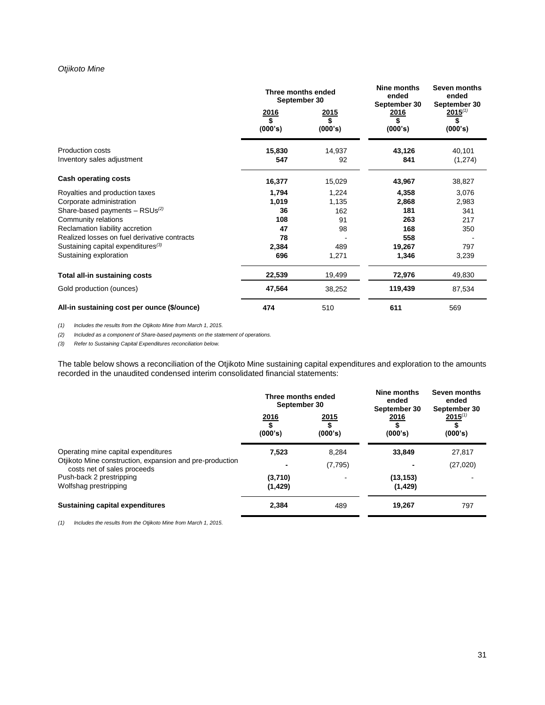# *Otjikoto Mine*

|                                                | Three months ended<br>September 30 |                       | Nine months<br>ended<br>September 30 | Seven months<br>ended<br>September 30 |
|------------------------------------------------|------------------------------------|-----------------------|--------------------------------------|---------------------------------------|
|                                                | 2016<br>\$<br>(000's)              | 2015<br>\$<br>(000's) | 2016<br>\$<br>(000's)                | $2015^{(1)}$<br>\$<br>(000's)         |
| Production costs<br>Inventory sales adjustment | 15,830<br>547                      | 14,937<br>92          | 43,126<br>841                        | 40,101<br>(1, 274)                    |
| Cash operating costs                           | 16,377                             | 15,029                | 43,967                               | 38,827                                |
| Royalties and production taxes                 | 1,794                              | 1,224                 | 4,358                                | 3,076                                 |
| Corporate administration                       | 1,019                              | 1,135                 | 2,868                                | 2,983                                 |
| Share-based payments $-$ RSUs <sup>(2)</sup>   | 36                                 | 162                   | 181                                  | 341                                   |
| Community relations                            | 108                                | 91                    | 263                                  | 217                                   |
| Reclamation liability accretion                | 47                                 | 98                    | 168                                  | 350                                   |
| Realized losses on fuel derivative contracts   | 78                                 |                       | 558                                  |                                       |
| Sustaining capital expenditures <sup>(3)</sup> | 2,384                              | 489                   | 19,267                               | 797                                   |
| Sustaining exploration                         | 696                                | 1,271                 | 1,346                                | 3,239                                 |
| Total all-in sustaining costs                  | 22,539                             | 19,499                | 72,976                               | 49,830                                |
| Gold production (ounces)                       | 47,564                             | 38,252                | 119,439                              | 87,534                                |
| All-in sustaining cost per ounce (\$/ounce)    | 474                                | 510                   | 611                                  | 569                                   |

*(1) Includes the results from the Otjikoto Mine from March 1, 2015.*

*(2) Included as a component of Share-based payments on the statement of operations.* 

*(3) Refer to Sustaining Capital Expenditures reconciliation below.*

The table below shows a reconciliation of the Otjikoto Mine sustaining capital expenditures and exploration to the amounts recorded in the unaudited condensed interim consolidated financial statements:

|                                                                                         | Three months ended<br>September 30         |                 | Nine months<br>ended<br>September 30 | Seven months<br>ended<br>September 30 |
|-----------------------------------------------------------------------------------------|--------------------------------------------|-----------------|--------------------------------------|---------------------------------------|
|                                                                                         | 2016<br>$\overline{\mathbf{S}}$<br>(000's) | 2015<br>(000's) | <u>2016</u><br>(000's)               | $2015^{(1)}$<br>(000's)               |
| Operating mine capital expenditures                                                     | 7,523                                      | 8.284           | 33,849                               | 27,817                                |
| Otjikoto Mine construction, expansion and pre-production<br>costs net of sales proceeds |                                            | (7, 795)        |                                      | (27, 020)                             |
| Push-back 2 prestripping                                                                | (3,710)                                    |                 | (13, 153)                            |                                       |
| Wolfshag prestripping                                                                   | (1, 429)                                   |                 | (1, 429)                             |                                       |
| <b>Sustaining capital expenditures</b>                                                  | 2,384                                      | 489             | 19,267                               | 797                                   |

*(1) Includes the results from the Otjikoto Mine from March 1, 2015.*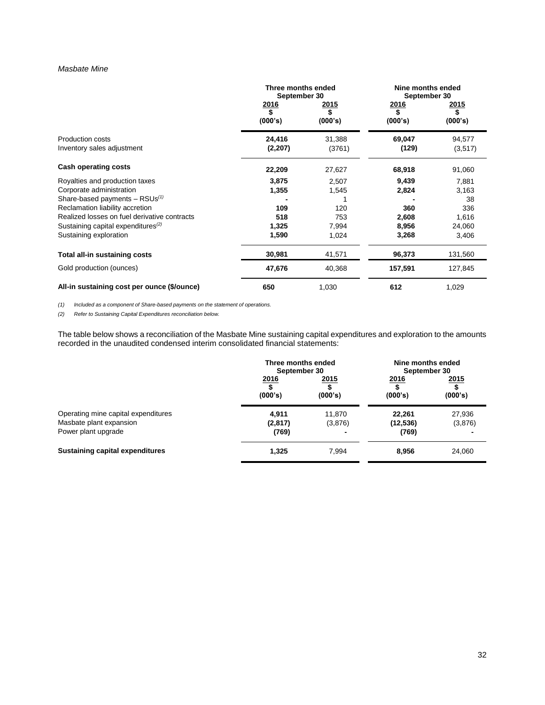### *Masbate Mine*

|                                                       | Three months ended<br>September 30 |                  | Nine months ended<br>September 30 |                         |
|-------------------------------------------------------|------------------------------------|------------------|-----------------------------------|-------------------------|
|                                                       | <u>2016</u><br>\$<br>(000's)       | 2015<br>(000's)  | <u> 2016</u><br>\$<br>(000's)     | <u> 2015</u><br>(000's) |
| <b>Production costs</b><br>Inventory sales adjustment | 24,416<br>(2,207)                  | 31,388<br>(3761) | 69,047<br>(129)                   | 94,577<br>(3,517)       |
| Cash operating costs                                  | 22,209                             | 27,627           | 68,918                            | 91,060                  |
| Royalties and production taxes                        | 3,875                              | 2,507            | 9,439                             | 7,881                   |
| Corporate administration                              | 1,355                              | 1,545            | 2,824                             | 3,163                   |
| Share-based payments $-$ RSUs <sup>(1)</sup>          |                                    |                  |                                   | 38                      |
| Reclamation liability accretion                       | 109                                | 120              | 360                               | 336                     |
| Realized losses on fuel derivative contracts          | 518                                | 753              | 2,608                             | 1,616                   |
| Sustaining capital expenditures <sup>(2)</sup>        | 1,325                              | 7,994            | 8,956                             | 24,060                  |
| Sustaining exploration                                | 1,590                              | 1,024            | 3,268                             | 3,406                   |
| Total all-in sustaining costs                         | 30,981                             | 41,571           | 96,373                            | 131,560                 |
| Gold production (ounces)                              | 47,676                             | 40,368           | 157,591                           | 127,845                 |
| All-in sustaining cost per ounce (\$/ounce)           | 650                                | 1,030            | 612                               | 1,029                   |

*(1) Included as a component of Share-based payments on the statement of operations.*

*(2) Refer to Sustaining Capital Expenditures reconciliation below.* 

The table below shows a reconciliation of the Masbate Mine sustaining capital expenditures and exploration to the amounts recorded in the unaudited condensed interim consolidated financial statements:

|                                     | Three months ended<br>September 30 |                 | Nine months ended<br>September 30 |                 |
|-------------------------------------|------------------------------------|-----------------|-----------------------------------|-----------------|
|                                     | 2016<br>(000's)                    | 2015<br>(000's) | 2016<br>(000's)                   | 2015<br>(000's) |
| Operating mine capital expenditures | 4.911                              | 11.870          | 22,261                            | 27,936          |
| Masbate plant expansion             | (2,817)                            | (3,876)         | (12, 536)                         | (3,876)         |
| Power plant upgrade                 | (769)                              |                 | (769)                             |                 |
| Sustaining capital expenditures     | 1,325                              | 7,994           | 8,956                             | 24,060          |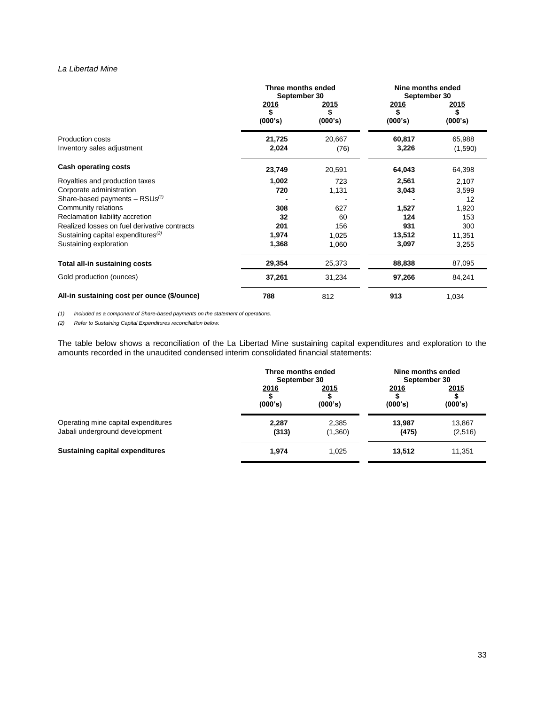# *La Libertad Mine*

|                                                                                 | Three months ended<br>September 30 |                         | Nine months ended<br>September 30 |                               |
|---------------------------------------------------------------------------------|------------------------------------|-------------------------|-----------------------------------|-------------------------------|
|                                                                                 | 2016<br>\$<br>(000's)              | <u> 2015</u><br>(000's) | <u> 2016</u><br>\$<br>(000's)     | <u> 2015</u><br>\$<br>(000's) |
| <b>Production costs</b><br>Inventory sales adjustment                           | 21,725<br>2,024                    | 20,667<br>(76)          | 60,817<br>3,226                   | 65,988<br>(1,590)             |
| Cash operating costs                                                            | 23,749                             | 20,591                  | 64,043                            | 64,398                        |
| Royalties and production taxes<br>Corporate administration                      | 1,002<br>720                       | 723<br>1,131            | 2,561<br>3,043                    | 2,107<br>3,599                |
| Share-based payments $-$ RSUs <sup>(1)</sup><br>Community relations             | 308                                | 627                     | 1,527                             | 12<br>1,920                   |
| Reclamation liability accretion<br>Realized losses on fuel derivative contracts | 32<br>201                          | 60<br>156               | 124<br>931                        | 153<br>300                    |
| Sustaining capital expenditures <sup>(2)</sup><br>Sustaining exploration        | 1,974<br>1,368                     | 1,025<br>1,060          | 13,512<br>3,097                   | 11,351<br>3,255               |
| Total all-in sustaining costs                                                   | 29,354                             | 25,373                  | 88,838                            | 87,095                        |
| Gold production (ounces)                                                        | 37,261                             | 31,234                  | 97,266                            | 84,241                        |
| All-in sustaining cost per ounce (\$/ounce)                                     | 788                                | 812                     | 913                               | 1,034                         |

*(1) Included as a component of Share-based payments on the statement of operations.*

*(2) Refer to Sustaining Capital Expenditures reconciliation below.* 

The table below shows a reconciliation of the La Libertad Mine sustaining capital expenditures and exploration to the amounts recorded in the unaudited condensed interim consolidated financial statements:

|                                        | Three months ended<br>September 30 |         | Nine months ended<br>September 30 |         |
|----------------------------------------|------------------------------------|---------|-----------------------------------|---------|
|                                        | 2016                               | 2015    | 2016                              | 2015    |
|                                        | (000's)                            | (000's) | (000's)                           | (000's) |
| Operating mine capital expenditures    | 2.287                              | 2,385   | 13.987                            | 13.867  |
| Jabali underground development         | (313)                              | (1,360) | (475)                             | (2,516) |
| <b>Sustaining capital expenditures</b> | 1,974                              | 1.025   | 13,512                            | 11,351  |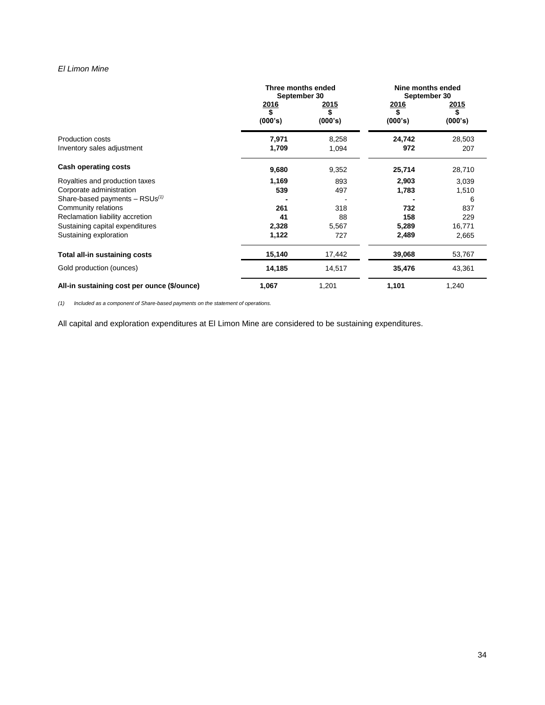# *El Limon Mine*

|                                                       | Three months ended<br>September 30 |                       | Nine months ended<br>September 30 |                       |
|-------------------------------------------------------|------------------------------------|-----------------------|-----------------------------------|-----------------------|
|                                                       | 2016<br>\$<br>(000's)              | 2015<br>\$<br>(000's) | <u>2016</u><br>\$<br>(000's)      | 2015<br>\$<br>(000's) |
| <b>Production costs</b><br>Inventory sales adjustment | 7,971<br>1,709                     | 8,258<br>1,094        | 24,742<br>972                     | 28,503<br>207         |
| Cash operating costs                                  | 9,680                              | 9,352                 | 25,714                            | 28,710                |
| Royalties and production taxes                        | 1,169                              | 893                   | 2,903                             | 3,039                 |
| Corporate administration                              | 539                                | 497                   | 1,783                             | 1,510                 |
| Share-based payments $-$ RSUs <sup>(1)</sup>          |                                    |                       |                                   | 6                     |
| Community relations                                   | 261                                | 318                   | 732                               | 837                   |
| Reclamation liability accretion                       | 41                                 | 88                    | 158                               | 229                   |
| Sustaining capital expenditures                       | 2,328                              | 5,567                 | 5,289                             | 16,771                |
| Sustaining exploration                                | 1,122                              | 727                   | 2,489                             | 2,665                 |
| Total all-in sustaining costs                         | 15,140                             | 17,442                | 39,068                            | 53,767                |
| Gold production (ounces)                              | 14,185                             | 14,517                | 35,476                            | 43,361                |
| All-in sustaining cost per ounce (\$/ounce)           | 1,067                              | 1,201                 | 1,101                             | 1,240                 |

*(1) Included as a component of Share-based payments on the statement of operations.*

All capital and exploration expenditures at El Limon Mine are considered to be sustaining expenditures.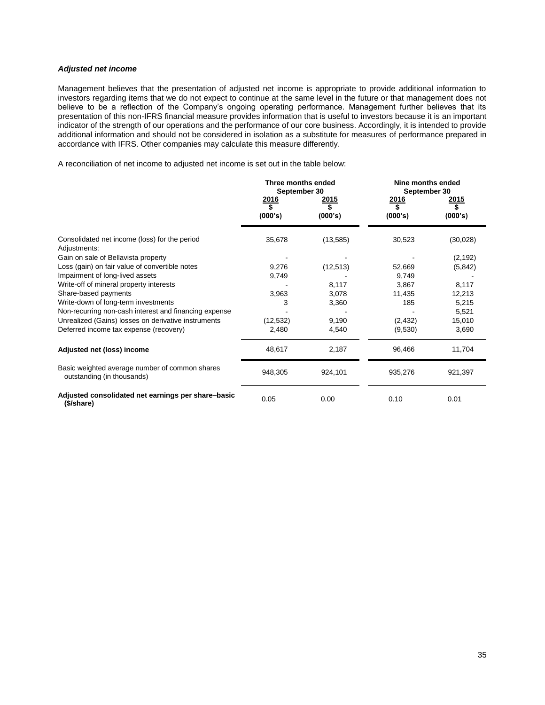# *Adjusted net income*

Management believes that the presentation of adjusted net income is appropriate to provide additional information to investors regarding items that we do not expect to continue at the same level in the future or that management does not believe to be a reflection of the Company's ongoing operating performance. Management further believes that its presentation of this non-IFRS financial measure provides information that is useful to investors because it is an important indicator of the strength of our operations and the performance of our core business. Accordingly, it is intended to provide additional information and should not be considered in isolation as a substitute for measures of performance prepared in accordance with IFRS. Other companies may calculate this measure differently.

A reconciliation of net income to adjusted net income is set out in the table below:

|                                                                              | Three months ended<br>September 30 |                               | Nine months ended<br>September 30 |                               |
|------------------------------------------------------------------------------|------------------------------------|-------------------------------|-----------------------------------|-------------------------------|
|                                                                              | <u> 2016</u><br>\$<br>(000's)      | <u> 2015</u><br>\$<br>(000's) | 2016<br>\$<br>(000's)             | <u> 2015</u><br>\$<br>(000's) |
| Consolidated net income (loss) for the period<br>Adjustments:                | 35,678                             | (13, 585)                     | 30,523                            | (30,028)                      |
| Gain on sale of Bellavista property                                          |                                    |                               |                                   | (2, 192)                      |
| Loss (gain) on fair value of convertible notes                               | 9,276                              | (12, 513)                     | 52,669                            | (5, 842)                      |
| Impairment of long-lived assets                                              | 9,749                              |                               | 9,749                             |                               |
| Write-off of mineral property interests                                      |                                    | 8,117                         | 3,867                             | 8,117                         |
| Share-based payments                                                         | 3,963                              | 3,078                         | 11,435                            | 12,213                        |
| Write-down of long-term investments                                          | 3                                  | 3,360                         | 185                               | 5,215                         |
| Non-recurring non-cash interest and financing expense                        |                                    |                               |                                   | 5,521                         |
| Unrealized (Gains) losses on derivative instruments                          | (12, 532)                          | 9,190                         | (2, 432)                          | 15,010                        |
| Deferred income tax expense (recovery)                                       | 2,480                              | 4,540                         | (9,530)                           | 3,690                         |
| Adjusted net (loss) income                                                   | 48,617                             | 2,187                         | 96,466                            | 11,704                        |
| Basic weighted average number of common shares<br>outstanding (in thousands) | 948,305                            | 924,101                       | 935,276                           | 921,397                       |
| Adjusted consolidated net earnings per share-basic<br>(\$/share)             | 0.05                               | 0.00                          | 0.10                              | 0.01                          |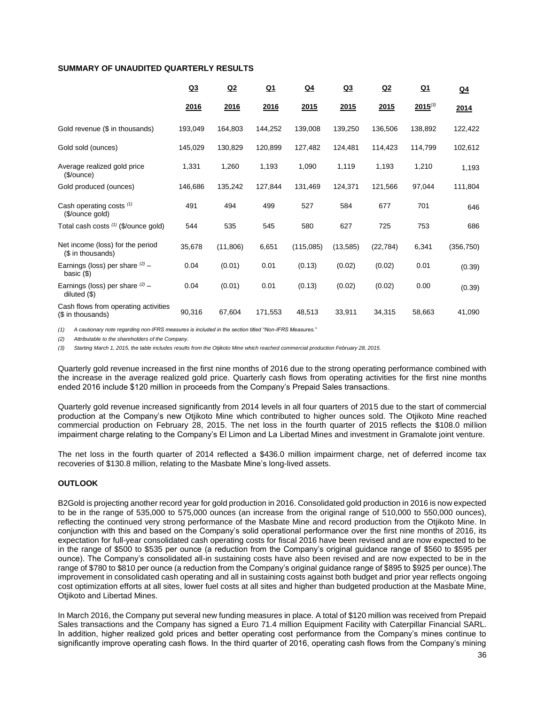## **SUMMARY OF UNAUDITED QUARTERLY RESULTS**

|                                                           | Q3      | Q2        | $Q_1$   | $Q_4$     | Q <sub>3</sub> | Q2        | $Q_1$        | $Q_4$      |
|-----------------------------------------------------------|---------|-----------|---------|-----------|----------------|-----------|--------------|------------|
|                                                           | 2016    | 2016      | 2016    | 2015      | 2015           | 2015      | $2015^{(3)}$ | 2014       |
| Gold revenue (\$ in thousands)                            | 193,049 | 164,803   | 144,252 | 139,008   | 139,250        | 136,506   | 138,892      | 122,422    |
| Gold sold (ounces)                                        | 145,029 | 130,829   | 120,899 | 127,482   | 124,481        | 114,423   | 114,799      | 102,612    |
| Average realized gold price<br>(\$/ounce)                 | 1,331   | 1,260     | 1,193   | 1,090     | 1,119          | 1,193     | 1,210        | 1,193      |
| Gold produced (ounces)                                    | 146,686 | 135,242   | 127,844 | 131,469   | 124,371        | 121,566   | 97,044       | 111,804    |
| Cash operating costs $(1)$<br>(\$/ounce gold)             | 491     | 494       | 499     | 527       | 584            | 677       | 701          | 646        |
| Total cash costs (1) (\$/ounce gold)                      | 544     | 535       | 545     | 580       | 627            | 725       | 753          | 686        |
| Net income (loss) for the period<br>(\$ in thousands)     | 35,678  | (11, 806) | 6,651   | (115,085) | (13, 585)      | (22, 784) | 6,341        | (356, 750) |
| Earnings (loss) per share $(2)$ –<br>basic $(\$)$         | 0.04    | (0.01)    | 0.01    | (0.13)    | (0.02)         | (0.02)    | 0.01         | (0.39)     |
| Earnings (loss) per share $(2)$ –<br>diluted $(\$)$       | 0.04    | (0.01)    | 0.01    | (0.13)    | (0.02)         | (0.02)    | 0.00         | (0.39)     |
| Cash flows from operating activities<br>(\$ in thousands) | 90,316  | 67,604    | 171,553 | 48,513    | 33,911         | 34,315    | 58,663       | 41,090     |

*(1) A cautionary note regarding non-IFRS measures is included in the section titled "Non-IFRS Measures."* 

*(2) Attributable to the shareholders of the Company.*

*(3) Starting March 1, 2015, the table includes results from the Otjikoto Mine which reached commercial production February 28, 2015.*

Quarterly gold revenue increased in the first nine months of 2016 due to the strong operating performance combined with the increase in the average realized gold price. Quarterly cash flows from operating activities for the first nine months ended 2016 include \$120 million in proceeds from the Company's Prepaid Sales transactions.

Quarterly gold revenue increased significantly from 2014 levels in all four quarters of 2015 due to the start of commercial production at the Company's new Otjikoto Mine which contributed to higher ounces sold. The Otjikoto Mine reached commercial production on February 28, 2015. The net loss in the fourth quarter of 2015 reflects the \$108.0 million impairment charge relating to the Company's El Limon and La Libertad Mines and investment in Gramalote joint venture.

The net loss in the fourth quarter of 2014 reflected a \$436.0 million impairment charge, net of deferred income tax recoveries of \$130.8 million, relating to the Masbate Mine's long-lived assets.

### **OUTLOOK**

B2Gold is projecting another record year for gold production in 2016. Consolidated gold production in 2016 is now expected to be in the range of 535,000 to 575,000 ounces (an increase from the original range of 510,000 to 550,000 ounces), reflecting the continued very strong performance of the Masbate Mine and record production from the Otjikoto Mine. In conjunction with this and based on the Company's solid operational performance over the first nine months of 2016, its expectation for full-year consolidated cash operating costs for fiscal 2016 have been revised and are now expected to be in the range of \$500 to \$535 per ounce (a reduction from the Company's original guidance range of \$560 to \$595 per ounce). The Company's consolidated all-in sustaining costs have also been revised and are now expected to be in the range of \$780 to \$810 per ounce (a reduction from the Company's original guidance range of \$895 to \$925 per ounce).The improvement in consolidated cash operating and all in sustaining costs against both budget and prior year reflects ongoing cost optimization efforts at all sites, lower fuel costs at all sites and higher than budgeted production at the Masbate Mine, Otjikoto and Libertad Mines.

In March 2016, the Company put several new funding measures in place. A total of \$120 million was received from Prepaid Sales transactions and the Company has signed a Euro 71.4 million Equipment Facility with Caterpillar Financial SARL. In addition, higher realized gold prices and better operating cost performance from the Company's mines continue to significantly improve operating cash flows. In the third quarter of 2016, operating cash flows from the Company's mining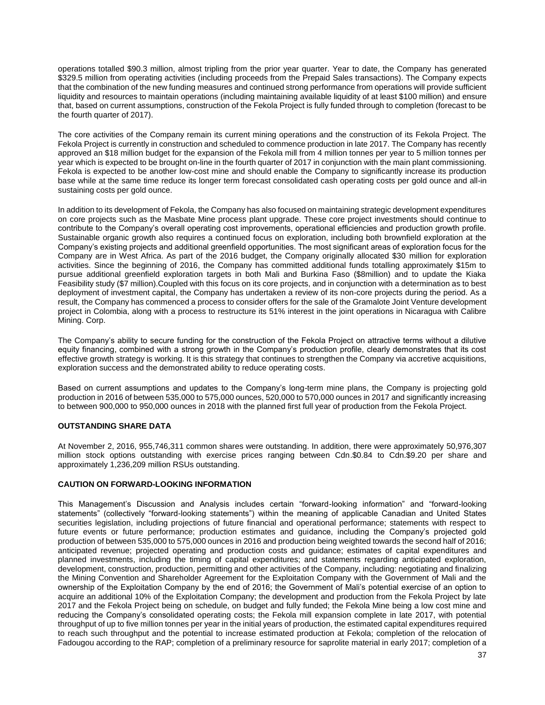operations totalled \$90.3 million, almost tripling from the prior year quarter. Year to date, the Company has generated \$329.5 million from operating activities (including proceeds from the Prepaid Sales transactions). The Company expects that the combination of the new funding measures and continued strong performance from operations will provide sufficient liquidity and resources to maintain operations (including maintaining available liquidity of at least \$100 million) and ensure that, based on current assumptions, construction of the Fekola Project is fully funded through to completion (forecast to be the fourth quarter of 2017).

The core activities of the Company remain its current mining operations and the construction of its Fekola Project. The Fekola Project is currently in construction and scheduled to commence production in late 2017. The Company has recently approved an \$18 million budget for the expansion of the Fekola mill from 4 million tonnes per year to 5 million tonnes per year which is expected to be brought on-line in the fourth quarter of 2017 in conjunction with the main plant commissioning. Fekola is expected to be another low-cost mine and should enable the Company to significantly increase its production base while at the same time reduce its longer term forecast consolidated cash operating costs per gold ounce and all-in sustaining costs per gold ounce.

In addition to its development of Fekola, the Company has also focused on maintaining strategic development expenditures on core projects such as the Masbate Mine process plant upgrade. These core project investments should continue to contribute to the Company's overall operating cost improvements, operational efficiencies and production growth profile. Sustainable organic growth also requires a continued focus on exploration, including both brownfield exploration at the Company's existing projects and additional greenfield opportunities. The most significant areas of exploration focus for the Company are in West Africa. As part of the 2016 budget, the Company originally allocated \$30 million for exploration activities. Since the beginning of 2016, the Company has committed additional funds totalling approximately \$15m to pursue additional greenfield exploration targets in both Mali and Burkina Faso (\$8million) and to update the Kiaka Feasibility study (\$7 million).Coupled with this focus on its core projects, and in conjunction with a determination as to best deployment of investment capital, the Company has undertaken a review of its non-core projects during the period. As a result, the Company has commenced a process to consider offers for the sale of the Gramalote Joint Venture development project in Colombia, along with a process to restructure its 51% interest in the joint operations in Nicaragua with Calibre Mining. Corp.

The Company's ability to secure funding for the construction of the Fekola Project on attractive terms without a dilutive equity financing, combined with a strong growth in the Company's production profile, clearly demonstrates that its cost effective growth strategy is working. It is this strategy that continues to strengthen the Company via accretive acquisitions, exploration success and the demonstrated ability to reduce operating costs.

Based on current assumptions and updates to the Company's long-term mine plans, the Company is projecting gold production in 2016 of between 535,000 to 575,000 ounces, 520,000 to 570,000 ounces in 2017 and significantly increasing to between 900,000 to 950,000 ounces in 2018 with the planned first full year of production from the Fekola Project.

# **OUTSTANDING SHARE DATA**

At November 2, 2016, 955,746,311 common shares were outstanding. In addition, there were approximately 50,976,307 million stock options outstanding with exercise prices ranging between Cdn.\$0.84 to Cdn.\$9.20 per share and approximately 1,236,209 million RSUs outstanding.

# **CAUTION ON FORWARD-LOOKING INFORMATION**

This Management's Discussion and Analysis includes certain "forward-looking information" and "forward-looking statements" (collectively "forward-looking statements") within the meaning of applicable Canadian and United States securities legislation, including projections of future financial and operational performance; statements with respect to future events or future performance; production estimates and guidance, including the Company's projected gold production of between 535,000 to 575,000 ounces in 2016 and production being weighted towards the second half of 2016; anticipated revenue; projected operating and production costs and guidance; estimates of capital expenditures and planned investments, including the timing of capital expenditures; and statements regarding anticipated exploration, development, construction, production, permitting and other activities of the Company, including: negotiating and finalizing the Mining Convention and Shareholder Agreement for the Exploitation Company with the Government of Mali and the ownership of the Exploitation Company by the end of 2016; the Government of Mali's potential exercise of an option to acquire an additional 10% of the Exploitation Company; the development and production from the Fekola Project by late 2017 and the Fekola Project being on schedule, on budget and fully funded; the Fekola Mine being a low cost mine and reducing the Company's consolidated operating costs; the Fekola mill expansion complete in late 2017, with potential throughput of up to five million tonnes per year in the initial years of production, the estimated capital expenditures required to reach such throughput and the potential to increase estimated production at Fekola; completion of the relocation of Fadougou according to the RAP; completion of a preliminary resource for saprolite material in early 2017; completion of a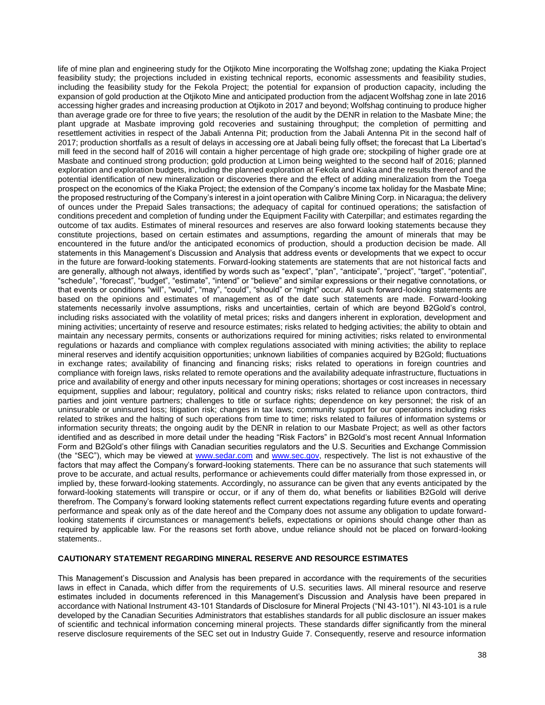life of mine plan and engineering study for the Otjikoto Mine incorporating the Wolfshag zone; updating the Kiaka Project feasibility study; the projections included in existing technical reports, economic assessments and feasibility studies, including the feasibility study for the Fekola Project; the potential for expansion of production capacity, including the expansion of gold production at the Otjikoto Mine and anticipated production from the adjacent Wolfshag zone in late 2016 accessing higher grades and increasing production at Otjikoto in 2017 and beyond; Wolfshag continuing to produce higher than average grade ore for three to five years; the resolution of the audit by the DENR in relation to the Masbate Mine; the plant upgrade at Masbate improving gold recoveries and sustaining throughput; the completion of permitting and resettlement activities in respect of the Jabali Antenna Pit; production from the Jabali Antenna Pit in the second half of 2017; production shortfalls as a result of delays in accessing ore at Jabali being fully offset; the forecast that La Libertad's mill feed in the second half of 2016 will contain a higher percentage of high grade ore; stockpiling of higher grade ore at Masbate and continued strong production; gold production at Limon being weighted to the second half of 2016; planned exploration and exploration budgets, including the planned exploration at Fekola and Kiaka and the results thereof and the potential identification of new mineralization or discoveries there and the effect of adding mineralization from the Toega prospect on the economics of the Kiaka Project; the extension of the Company's income tax holiday for the Masbate Mine; the proposed restructuring of the Company's interest in a joint operation with Calibre Mining Corp. in Nicaragua; the delivery of ounces under the Prepaid Sales transactions; the adequacy of capital for continued operations; the satisfaction of conditions precedent and completion of funding under the Equipment Facility with Caterpillar; and estimates regarding the outcome of tax audits. Estimates of mineral resources and reserves are also forward looking statements because they constitute projections, based on certain estimates and assumptions, regarding the amount of minerals that may be encountered in the future and/or the anticipated economics of production, should a production decision be made. All statements in this Management's Discussion and Analysis that address events or developments that we expect to occur in the future are forward-looking statements. Forward-looking statements are statements that are not historical facts and are generally, although not always, identified by words such as "expect", "plan", "anticipate", "project", "target", "potential", "schedule", "forecast", "budget", "estimate", "intend" or "believe" and similar expressions or their negative connotations, or that events or conditions "will", "would", "may", "could", "should" or "might" occur. All such forward-looking statements are based on the opinions and estimates of management as of the date such statements are made. Forward-looking statements necessarily involve assumptions, risks and uncertainties, certain of which are beyond B2Gold's control, including risks associated with the volatility of metal prices; risks and dangers inherent in exploration, development and mining activities; uncertainty of reserve and resource estimates; risks related to hedging activities; the ability to obtain and maintain any necessary permits, consents or authorizations required for mining activities; risks related to environmental regulations or hazards and compliance with complex regulations associated with mining activities; the ability to replace mineral reserves and identify acquisition opportunities; unknown liabilities of companies acquired by B2Gold; fluctuations in exchange rates; availability of financing and financing risks; risks related to operations in foreign countries and compliance with foreign laws, risks related to remote operations and the availability adequate infrastructure, fluctuations in price and availability of energy and other inputs necessary for mining operations; shortages or cost increases in necessary equipment, supplies and labour; regulatory, political and country risks; risks related to reliance upon contractors, third parties and joint venture partners; challenges to title or surface rights; dependence on key personnel; the risk of an uninsurable or uninsured loss; litigation risk; changes in tax laws; community support for our operations including risks related to strikes and the halting of such operations from time to time; risks related to failures of information systems or information security threats; the ongoing audit by the DENR in relation to our Masbate Project; as well as other factors identified and as described in more detail under the heading "Risk Factors" in B2Gold's most recent Annual Information Form and B2Gold's other filings with Canadian securities regulators and the U.S. Securities and Exchange Commission (the "SEC"), which may be viewed at [www.sedar.com](http://www.sedar.com/) and [www.sec.gov,](http://www.sec.gov/) respectively. The list is not exhaustive of the factors that may affect the Company's forward-looking statements. There can be no assurance that such statements will prove to be accurate, and actual results, performance or achievements could differ materially from those expressed in, or implied by, these forward-looking statements. Accordingly, no assurance can be given that any events anticipated by the forward-looking statements will transpire or occur, or if any of them do, what benefits or liabilities B2Gold will derive therefrom. The Company's forward looking statements reflect current expectations regarding future events and operating performance and speak only as of the date hereof and the Company does not assume any obligation to update forwardlooking statements if circumstances or management's beliefs, expectations or opinions should change other than as required by applicable law. For the reasons set forth above, undue reliance should not be placed on forward-looking statements..

# **CAUTIONARY STATEMENT REGARDING MINERAL RESERVE AND RESOURCE ESTIMATES**

This Management's Discussion and Analysis has been prepared in accordance with the requirements of the securities laws in effect in Canada, which differ from the requirements of U.S. securities laws. All mineral resource and reserve estimates included in documents referenced in this Management's Discussion and Analysis have been prepared in accordance with National Instrument 43-101 Standards of Disclosure for Mineral Projects ("NI 43-101"). NI 43-101 is a rule developed by the Canadian Securities Administrators that establishes standards for all public disclosure an issuer makes of scientific and technical information concerning mineral projects. These standards differ significantly from the mineral reserve disclosure requirements of the SEC set out in Industry Guide 7. Consequently, reserve and resource information